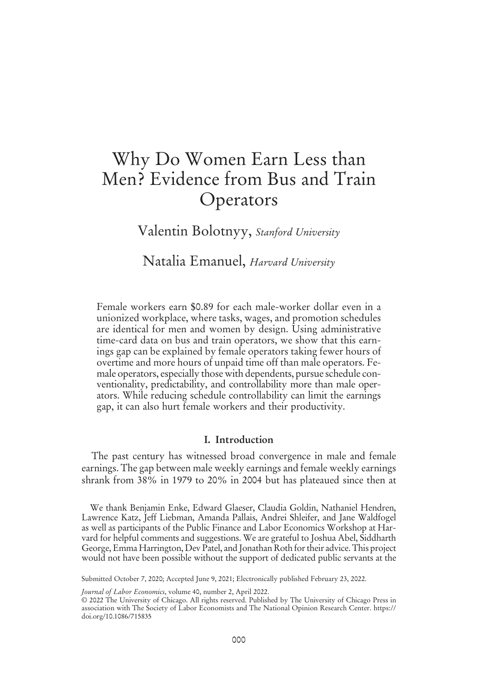# Why Do Women Earn Less than Men? Evidence from Bus and Train **Operators**

Valentin Bolotnyy, *Stanford University*

Natalia Emanuel, *Harvard University*

Female workers earn \$0.89 for each male-worker dollar even in a unionized workplace, where tasks, wages, and promotion schedules are identical for men and women by design. Using administrative time-card data on bus and train operators, we show that this earnings gap can be explained by female operators taking fewer hours of overtime and more hours of unpaid time off than male operators. Female operators, especially those with dependents, pursue schedule conventionality, predictability, and controllability more than male operators. While reducing schedule controllability can limit the earnings gap, it can also hurt female workers and their productivity.

#### I. Introduction

The past century has witnessed broad convergence in male and female earnings. The gap between male weekly earnings and female weekly earnings shrank from 38% in 1979 to 20% in 2004 but has plateaued since then at

We thank Benjamin Enke, Edward Glaeser, Claudia Goldin, Nathaniel Hendren, Lawrence Katz, Jeff Liebman, Amanda Pallais, Andrei Shleifer, and Jane Waldfogel as well as participants of the Public Finance and Labor Economics Workshop at Harvard for helpful comments and suggestions. We are grateful to Joshua Abel, Siddharth George, Emma Harrington, Dev Patel, and Jonathan Roth for their advice. This project would not have been possible without the support of dedicated public servants at the

Submitted October 7, 2020; Accepted June 9, 2021; Electronically published February 23, 2022.

*Journal of Labor Economics*, volume 40, number 2, April 2022.

<sup>© 2022</sup> The University of Chicago. All rights reserved. Published by The University of Chicago Press in association with The Society of Labor Economists and The National Opinion Research Center. https:// doi.org/10.1086/715835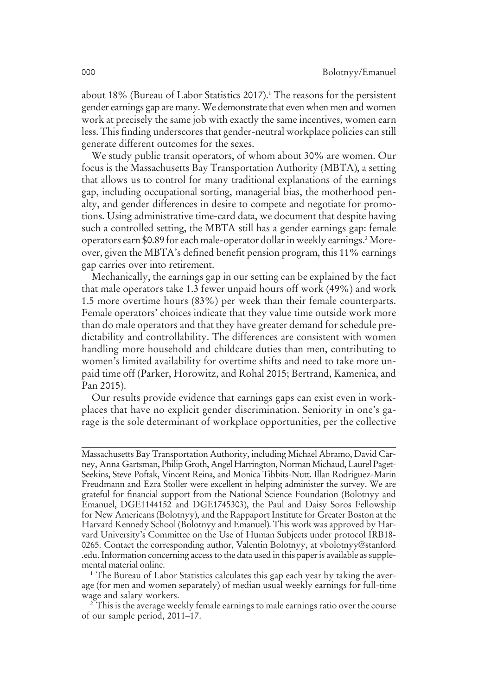about 18% (Bureau of Labor Statistics 2017).<sup>1</sup> The reasons for the persistent gender earnings gap are many.We demonstrate that even when men and women work at precisely the same job with exactly the same incentives, women earn less. This finding underscores that gender-neutral workplace policies can still generate different outcomes for the sexes.

We study public transit operators, of whom about 30% are women. Our focus is the Massachusetts Bay Transportation Authority (MBTA), a setting that allows us to control for many traditional explanations of the earnings gap, including occupational sorting, managerial bias, the motherhood penalty, and gender differences in desire to compete and negotiate for promotions. Using administrative time-card data, we document that despite having such a controlled setting, the MBTA still has a gender earnings gap: female operators earn \$0.89 for each male-operator dollar in weekly earnings.2Moreover, given the MBTA's defined benefit pension program, this 11% earnings gap carries over into retirement.

Mechanically, the earnings gap in our setting can be explained by the fact that male operators take 1.3 fewer unpaid hours off work (49%) and work 1.5 more overtime hours (83%) per week than their female counterparts. Female operators' choices indicate that they value time outside work more than do male operators and that they have greater demand for schedule predictability and controllability. The differences are consistent with women handling more household and childcare duties than men, contributing to women's limited availability for overtime shifts and need to take more unpaid time off (Parker, Horowitz, and Rohal 2015; Bertrand, Kamenica, and Pan 2015).

Our results provide evidence that earnings gaps can exist even in workplaces that have no explicit gender discrimination. Seniority in one's garage is the sole determinant of workplace opportunities, per the collective

Massachusetts Bay Transportation Authority, including Michael Abramo, David Carney, Anna Gartsman, Philip Groth, Angel Harrington, Norman Michaud, Laurel Paget-Seekins, Steve Poftak, Vincent Reina, and Monica Tibbits-Nutt. Illan Rodriguez-Marin Freudmann and Ezra Stoller were excellent in helping administer the survey. We are grateful for financial support from the National Science Foundation (Bolotnyy and Emanuel, DGE1144152 and DGE1745303), the Paul and Daisy Soros Fellowship for New Americans (Bolotnyy), and the Rappaport Institute for Greater Boston at the Harvard Kennedy School (Bolotnyy and Emanuel). This work was approved by Harvard University's Committee on the Use of Human Subjects under protocol IRB18- 0265. Contact the corresponding author, Valentin Bolotnyy, at vbolotnyy@stanford .edu. Information concerning access to the data used in this paper is available as supplemental material online.

<sup>&</sup>lt;sup>1</sup> The Bureau of Labor Statistics calculates this gap each year by taking the average (for men and women separately) of median usual weekly earnings for full-time wage and salary workers.

<sup>&</sup>lt;sup>2</sup> This is the average weekly female earnings to male earnings ratio over the course of our sample period, 2011–17.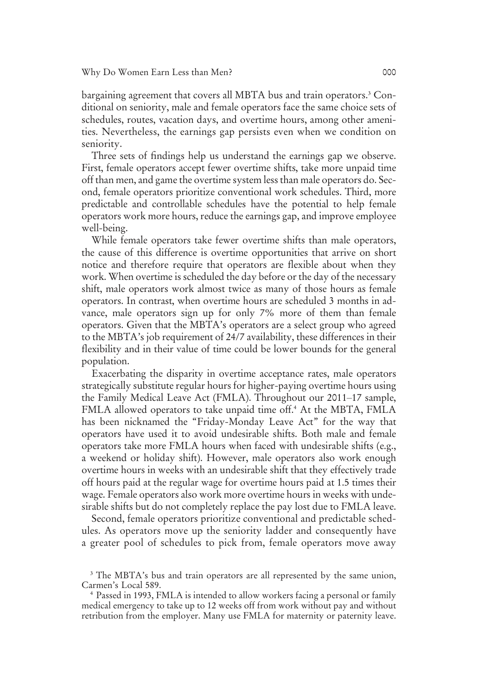#### Why Do Women Earn Less than Men? 000

bargaining agreement that covers all MBTA bus and train operators.<sup>3</sup> Conditional on seniority, male and female operators face the same choice sets of schedules, routes, vacation days, and overtime hours, among other amenities. Nevertheless, the earnings gap persists even when we condition on seniority.

Three sets of findings help us understand the earnings gap we observe. First, female operators accept fewer overtime shifts, take more unpaid time off than men, and game the overtime system less than male operators do. Second, female operators prioritize conventional work schedules. Third, more predictable and controllable schedules have the potential to help female operators work more hours, reduce the earnings gap, and improve employee well-being.

While female operators take fewer overtime shifts than male operators, the cause of this difference is overtime opportunities that arrive on short notice and therefore require that operators are flexible about when they work. When overtime is scheduled the day before or the day of the necessary shift, male operators work almost twice as many of those hours as female operators. In contrast, when overtime hours are scheduled 3 months in advance, male operators sign up for only 7% more of them than female operators. Given that the MBTA's operators are a select group who agreed to the MBTA's job requirement of 24/7 availability, these differences in their flexibility and in their value of time could be lower bounds for the general population.

Exacerbating the disparity in overtime acceptance rates, male operators strategically substitute regular hours for higher-paying overtime hours using the Family Medical Leave Act (FMLA). Throughout our 2011–17 sample, FMLA allowed operators to take unpaid time off.<sup>4</sup> At the MBTA, FMLA has been nicknamed the "Friday-Monday Leave Act" for the way that operators have used it to avoid undesirable shifts. Both male and female operators take more FMLA hours when faced with undesirable shifts (e.g., a weekend or holiday shift). However, male operators also work enough overtime hours in weeks with an undesirable shift that they effectively trade off hours paid at the regular wage for overtime hours paid at 1.5 times their wage. Female operators also work more overtime hours in weeks with undesirable shifts but do not completely replace the pay lost due to FMLA leave.

Second, female operators prioritize conventional and predictable schedules. As operators move up the seniority ladder and consequently have a greater pool of schedules to pick from, female operators move away

<sup>&</sup>lt;sup>3</sup> The MBTA's bus and train operators are all represented by the same union, Carmen's Local 589.

<sup>4</sup> Passed in 1993, FMLA is intended to allow workers facing a personal or family medical emergency to take up to 12 weeks off from work without pay and without retribution from the employer. Many use FMLA for maternity or paternity leave.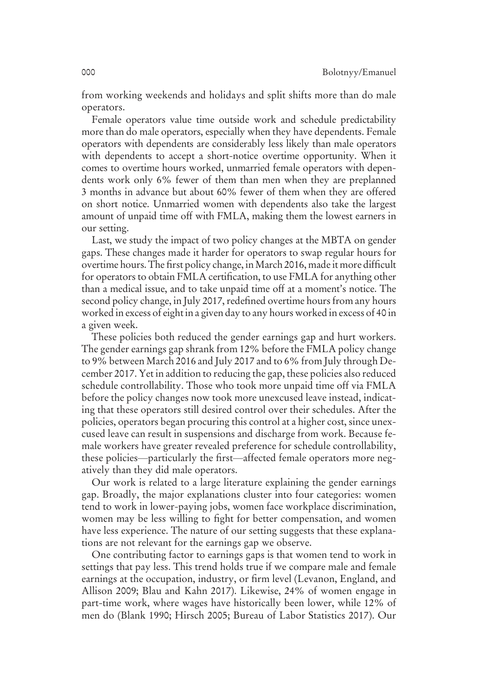from working weekends and holidays and split shifts more than do male operators.

Female operators value time outside work and schedule predictability more than do male operators, especially when they have dependents. Female operators with dependents are considerably less likely than male operators with dependents to accept a short-notice overtime opportunity. When it comes to overtime hours worked, unmarried female operators with dependents work only 6% fewer of them than men when they are preplanned 3 months in advance but about 60% fewer of them when they are offered on short notice. Unmarried women with dependents also take the largest amount of unpaid time off with FMLA, making them the lowest earners in our setting.

Last, we study the impact of two policy changes at the MBTA on gender gaps. These changes made it harder for operators to swap regular hours for overtime hours. The first policy change, inMarch 2016, made it more difficult for operators to obtain FMLA certification, to use FMLA for anything other than a medical issue, and to take unpaid time off at a moment's notice. The second policy change, in July 2017, redefined overtime hours from any hours worked in excess of eight in a given day to any hours worked in excess of 40 in a given week.

These policies both reduced the gender earnings gap and hurt workers. The gender earnings gap shrank from 12% before the FMLA policy change to 9% between March 2016 and July 2017 and to 6% from July through December 2017. Yet in addition to reducing the gap, these policies also reduced schedule controllability. Those who took more unpaid time off via FMLA before the policy changes now took more unexcused leave instead, indicating that these operators still desired control over their schedules. After the policies, operators began procuring this control at a higher cost, since unexcused leave can result in suspensions and discharge from work. Because female workers have greater revealed preference for schedule controllability, these policies—particularly the first—affected female operators more negatively than they did male operators.

Our work is related to a large literature explaining the gender earnings gap. Broadly, the major explanations cluster into four categories: women tend to work in lower-paying jobs, women face workplace discrimination, women may be less willing to fight for better compensation, and women have less experience. The nature of our setting suggests that these explanations are not relevant for the earnings gap we observe.

One contributing factor to earnings gaps is that women tend to work in settings that pay less. This trend holds true if we compare male and female earnings at the occupation, industry, or firm level (Levanon, England, and Allison 2009; Blau and Kahn 2017). Likewise, 24% of women engage in part-time work, where wages have historically been lower, while 12% of men do (Blank 1990; Hirsch 2005; Bureau of Labor Statistics 2017). Our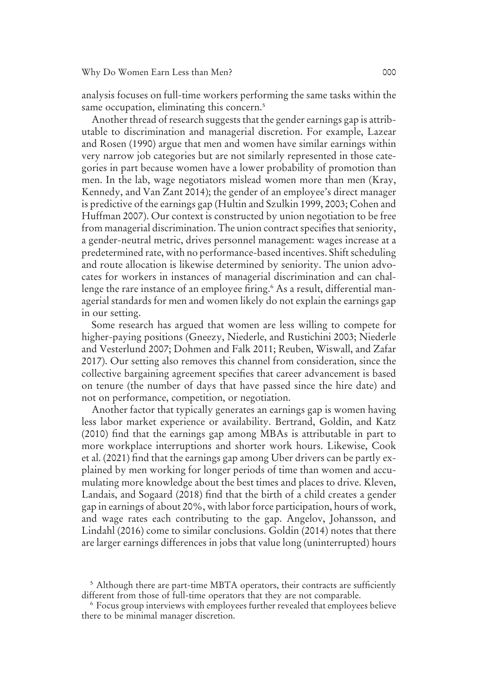analysis focuses on full-time workers performing the same tasks within the same occupation, eliminating this concern.<sup>5</sup>

Another thread of research suggests that the gender earnings gap is attributable to discrimination and managerial discretion. For example, Lazear and Rosen (1990) argue that men and women have similar earnings within very narrow job categories but are not similarly represented in those categories in part because women have a lower probability of promotion than men. In the lab, wage negotiators mislead women more than men (Kray, Kennedy, and Van Zant 2014); the gender of an employee's direct manager is predictive of the earnings gap (Hultin and Szulkin 1999, 2003; Cohen and Huffman 2007). Our context is constructed by union negotiation to be free from managerial discrimination. The union contract specifies that seniority, a gender-neutral metric, drives personnel management: wages increase at a predetermined rate, with no performance-based incentives. Shift scheduling and route allocation is likewise determined by seniority. The union advocates for workers in instances of managerial discrimination and can challenge the rare instance of an employee firing.<sup>6</sup> As a result, differential managerial standards for men and women likely do not explain the earnings gap in our setting.

Some research has argued that women are less willing to compete for higher-paying positions (Gneezy, Niederle, and Rustichini 2003; Niederle and Vesterlund 2007; Dohmen and Falk 2011; Reuben, Wiswall, and Zafar 2017). Our setting also removes this channel from consideration, since the collective bargaining agreement specifies that career advancement is based on tenure (the number of days that have passed since the hire date) and not on performance, competition, or negotiation.

Another factor that typically generates an earnings gap is women having less labor market experience or availability. Bertrand, Goldin, and Katz (2010) find that the earnings gap among MBAs is attributable in part to more workplace interruptions and shorter work hours. Likewise, Cook et al. (2021) find that the earnings gap among Uber drivers can be partly explained by men working for longer periods of time than women and accumulating more knowledge about the best times and places to drive. Kleven, Landais, and Sogaard (2018) find that the birth of a child creates a gender gap in earnings of about 20%, with labor force participation, hours of work, and wage rates each contributing to the gap. Angelov, Johansson, and Lindahl (2016) come to similar conclusions. Goldin (2014) notes that there are larger earnings differences in jobs that value long (uninterrupted) hours

<sup>5</sup> Although there are part-time MBTA operators, their contracts are sufficiently different from those of full-time operators that they are not comparable.

<sup>6</sup> Focus group interviews with employees further revealed that employees believe there to be minimal manager discretion.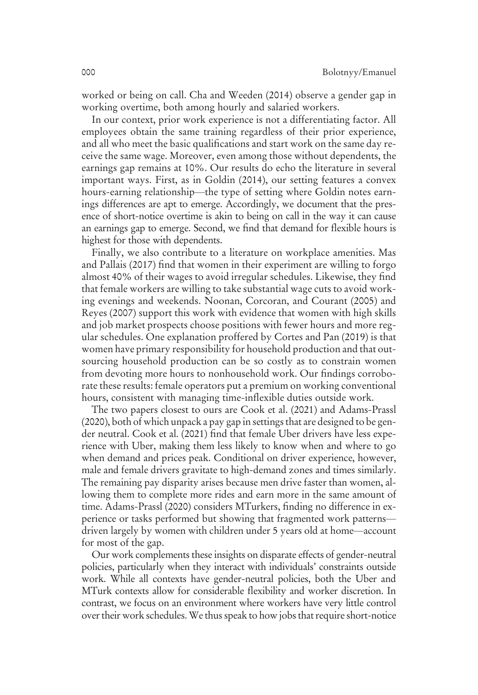worked or being on call. Cha and Weeden (2014) observe a gender gap in working overtime, both among hourly and salaried workers.

In our context, prior work experience is not a differentiating factor. All employees obtain the same training regardless of their prior experience, and all who meet the basic qualifications and start work on the same day receive the same wage. Moreover, even among those without dependents, the earnings gap remains at 10%. Our results do echo the literature in several important ways. First, as in Goldin (2014), our setting features a convex hours-earning relationship—the type of setting where Goldin notes earnings differences are apt to emerge. Accordingly, we document that the presence of short-notice overtime is akin to being on call in the way it can cause an earnings gap to emerge. Second, we find that demand for flexible hours is highest for those with dependents.

Finally, we also contribute to a literature on workplace amenities. Mas and Pallais (2017) find that women in their experiment are willing to forgo almost 40% of their wages to avoid irregular schedules. Likewise, they find that female workers are willing to take substantial wage cuts to avoid working evenings and weekends. Noonan, Corcoran, and Courant (2005) and Reyes (2007) support this work with evidence that women with high skills and job market prospects choose positions with fewer hours and more regular schedules. One explanation proffered by Cortes and Pan (2019) is that women have primary responsibility for household production and that outsourcing household production can be so costly as to constrain women from devoting more hours to nonhousehold work. Our findings corroborate these results: female operators put a premium on working conventional hours, consistent with managing time-inflexible duties outside work.

The two papers closest to ours are Cook et al. (2021) and Adams-Prassl (2020), both of which unpack a pay gap in settings that are designed to be gender neutral. Cook et al. (2021) find that female Uber drivers have less experience with Uber, making them less likely to know when and where to go when demand and prices peak. Conditional on driver experience, however, male and female drivers gravitate to high-demand zones and times similarly. The remaining pay disparity arises because men drive faster than women, allowing them to complete more rides and earn more in the same amount of time. Adams-Prassl (2020) considers MTurkers, finding no difference in experience or tasks performed but showing that fragmented work patterns driven largely by women with children under 5 years old at home—account for most of the gap.

Our work complements these insights on disparate effects of gender-neutral policies, particularly when they interact with individuals' constraints outside work. While all contexts have gender-neutral policies, both the Uber and MTurk contexts allow for considerable flexibility and worker discretion. In contrast, we focus on an environment where workers have very little control over their work schedules.We thus speak to how jobs that require short-notice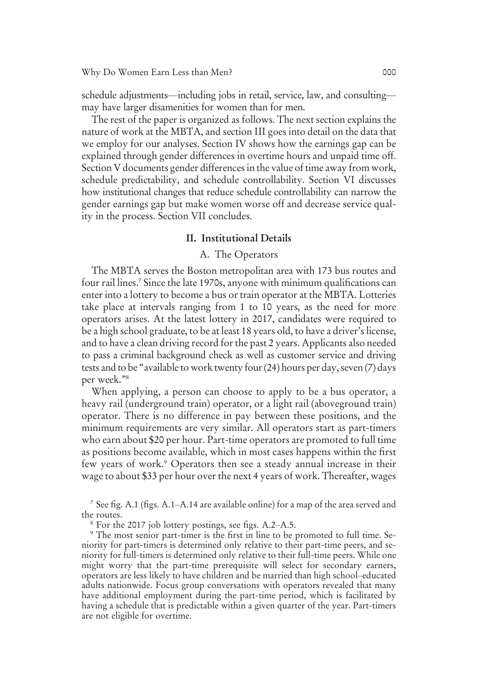schedule adjustments—including jobs in retail, service, law, and consulting may have larger disamenities for women than for men.

The rest of the paper is organized as follows. The next section explains the nature of work at the MBTA, and section III goes into detail on the data that we employ for our analyses. Section IV shows how the earnings gap can be explained through gender differences in overtime hours and unpaid time off. Section V documents gender differences in the value of time away from work, schedule predictability, and schedule controllability. Section VI discusses how institutional changes that reduce schedule controllability can narrow the gender earnings gap but make women worse off and decrease service quality in the process. Section VII concludes.

### II. Institutional Details

### A. The Operators

The MBTA serves the Boston metropolitan area with 173 bus routes and four rail lines.<sup>7</sup> Since the late 1970s, anyone with minimum qualifications can enter into a lottery to become a bus or train operator at the MBTA. Lotteries take place at intervals ranging from 1 to 10 years, as the need for more operators arises. At the latest lottery in 2017, candidates were required to be a high school graduate, to be at least 18 years old, to have a driver's license, and to have a clean driving record for the past 2 years. Applicants also needed to pass a criminal background check as well as customer service and driving tests and to be "available to work twenty four (24) hours per day, seven (7) days per week." 8

When applying, a person can choose to apply to be a bus operator, a heavy rail (underground train) operator, or a light rail (aboveground train) operator. There is no difference in pay between these positions, and the minimum requirements are very similar. All operators start as part-timers who earn about \$20 per hour. Part-time operators are promoted to full time as positions become available, which in most cases happens within the first few years of work.<sup>9</sup> Operators then see a steady annual increase in their wage to about \$33 per hour over the next 4 years of work. Thereafter, wages

7 See fig. A.1 (figs. A.1–A.14 are available online) for a map of the area served and the routes.

<sup>8</sup> For the 2017 job lottery postings, see figs. A.2–A.5.

<sup>9</sup> The most senior part-timer is the first in line to be promoted to full time. Seniority for part-timers is determined only relative to their part-time peers, and seniority for full-timers is determined only relative to their full-time peers. While one might worry that the part-time prerequisite will select for secondary earners, operators are less likely to have children and be married than high school–educated adults nationwide. Focus group conversations with operators revealed that many have additional employment during the part-time period, which is facilitated by having a schedule that is predictable within a given quarter of the year. Part-timers are not eligible for overtime.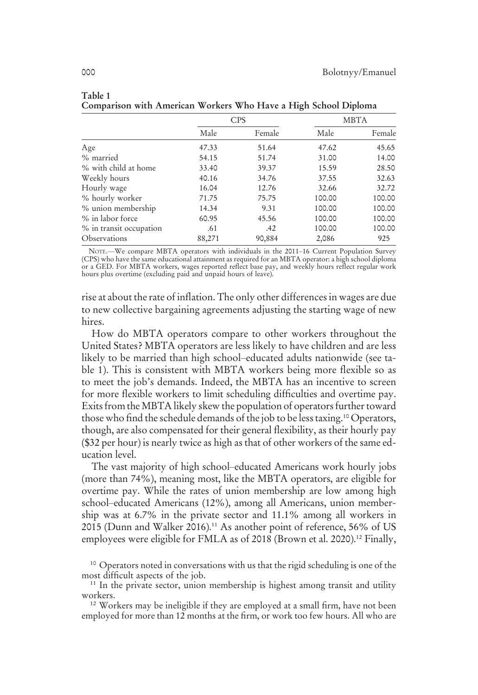|                         | <b>CPS</b> |        |        | <b>MBTA</b> |
|-------------------------|------------|--------|--------|-------------|
|                         | Male       | Female | Male   | Female      |
| Age                     | 47.33      | 51.64  | 47.62  | 45.65       |
| % married               | 54.15      | 51.74  | 31.00  | 14.00       |
| % with child at home    | 33.40      | 39.37  | 15.59  | 28.50       |
| Weekly hours            | 40.16      | 34.76  | 37.55  | 32.63       |
| Hourly wage             | 16.04      | 12.76  | 32.66  | 32.72       |
| % hourly worker         | 71.75      | 75.75  | 100.00 | 100.00      |
| % union membership      | 14.34      | 9.31   | 100.00 | 100.00      |
| % in labor force        | 60.95      | 45.56  | 100.00 | 100.00      |
| % in transit occupation | .61        | .42    | 100.00 | 100.00      |
| Observations            | 88,271     | 90,884 | 2,086  | 925         |

Table 1 Comparison with American Workers Who Have a High School Diploma

NOTE.—We compare MBTA operators with individuals in the 2011–16 Current Population Survey (CPS) who have the same educational attainment as required for an MBTA operator: a high school diploma or a GED. For MBTA workers, wages reported reflect base pay, and weekly hours reflect regular work hours plus overtime (excluding paid and unpaid hours of leave).

rise at about the rate of inflation. The only other differences in wages are due to new collective bargaining agreements adjusting the starting wage of new hires.

How do MBTA operators compare to other workers throughout the United States? MBTA operators are less likely to have children and are less likely to be married than high school–educated adults nationwide (see table 1). This is consistent with MBTA workers being more flexible so as to meet the job's demands. Indeed, the MBTA has an incentive to screen for more flexible workers to limit scheduling difficulties and overtime pay. Exits from the MBTA likely skew the population of operators further toward those who find the schedule demands of the job to be less taxing.<sup>10</sup> Operators, though, are also compensated for their general flexibility, as their hourly pay (\$32 per hour) is nearly twice as high as that of other workers of the same education level.

The vast majority of high school–educated Americans work hourly jobs (more than 74%), meaning most, like the MBTA operators, are eligible for overtime pay. While the rates of union membership are low among high school–educated Americans (12%), among all Americans, union membership was at 6.7% in the private sector and 11.1% among all workers in 2015 (Dunn and Walker 2016).<sup>11</sup> As another point of reference, 56% of US employees were eligible for FMLA as of 2018 (Brown et al. 2020).<sup>12</sup> Finally,

<sup>10</sup> Operators noted in conversations with us that the rigid scheduling is one of the most difficult aspects of the job.

<sup>11</sup> In the private sector, union membership is highest among transit and utility workers.

<sup>12</sup> Workers may be ineligible if they are employed at a small firm, have not been employed for more than 12 months at the firm, or work too few hours. All who are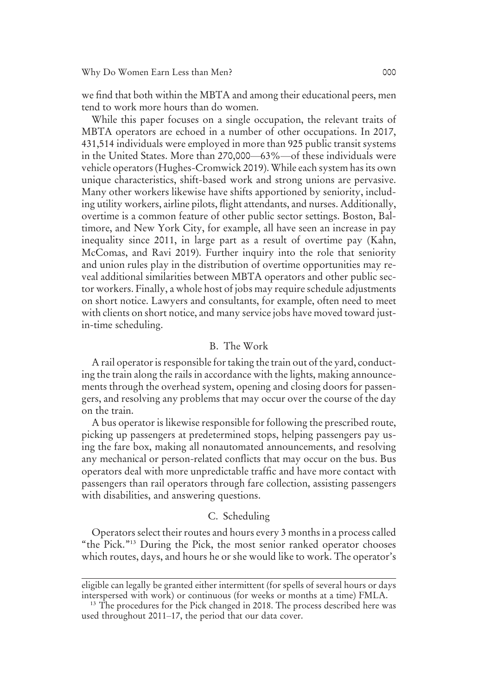we find that both within the MBTA and among their educational peers, men tend to work more hours than do women.

While this paper focuses on a single occupation, the relevant traits of MBTA operators are echoed in a number of other occupations. In 2017, 431,514 individuals were employed in more than 925 public transit systems in the United States. More than 270,000—63%—of these individuals were vehicle operators (Hughes-Cromwick 2019). While each system has its own unique characteristics, shift-based work and strong unions are pervasive. Many other workers likewise have shifts apportioned by seniority, including utility workers, airline pilots, flight attendants, and nurses. Additionally, overtime is a common feature of other public sector settings. Boston, Baltimore, and New York City, for example, all have seen an increase in pay inequality since 2011, in large part as a result of overtime pay (Kahn, McComas, and Ravi 2019). Further inquiry into the role that seniority and union rules play in the distribution of overtime opportunities may reveal additional similarities between MBTA operators and other public sector workers. Finally, a whole host of jobs may require schedule adjustments on short notice. Lawyers and consultants, for example, often need to meet with clients on short notice, and many service jobs have moved toward justin-time scheduling.

#### B. The Work

A rail operator is responsible for taking the train out of the yard, conducting the train along the rails in accordance with the lights, making announcements through the overhead system, opening and closing doors for passengers, and resolving any problems that may occur over the course of the day on the train.

A bus operator is likewise responsible for following the prescribed route, picking up passengers at predetermined stops, helping passengers pay using the fare box, making all nonautomated announcements, and resolving any mechanical or person-related conflicts that may occur on the bus. Bus operators deal with more unpredictable traffic and have more contact with passengers than rail operators through fare collection, assisting passengers with disabilities, and answering questions.

#### C. Scheduling

Operators select their routes and hours every 3 months in a process called "the Pick." <sup>13</sup> During the Pick, the most senior ranked operator chooses which routes, days, and hours he or she would like to work. The operator's

eligible can legally be granted either intermittent (for spells of several hours or days interspersed with work) or continuous (for weeks or months at a time) FMLA.

<sup>&</sup>lt;sup>13</sup> The procedures for the Pick changed in 2018. The process described here was used throughout 2011–17, the period that our data cover.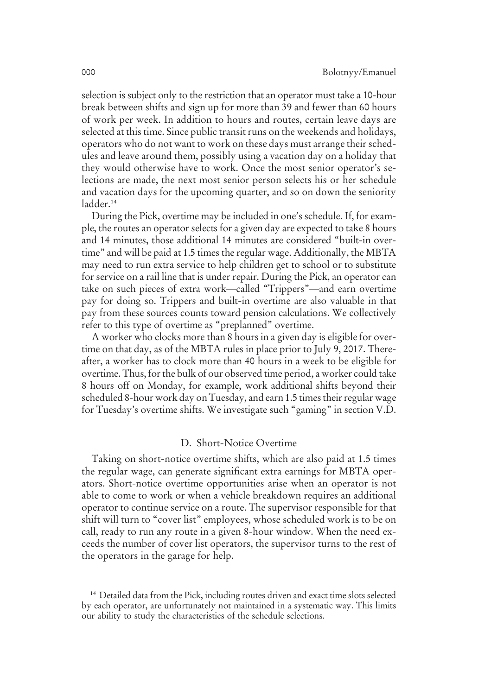selection is subject only to the restriction that an operator must take a 10-hour break between shifts and sign up for more than 39 and fewer than 60 hours of work per week. In addition to hours and routes, certain leave days are selected at this time. Since public transit runs on the weekends and holidays, operators who do not want to work on these days must arrange their schedules and leave around them, possibly using a vacation day on a holiday that they would otherwise have to work. Once the most senior operator's selections are made, the next most senior person selects his or her schedule and vacation days for the upcoming quarter, and so on down the seniority ladder.<sup>14</sup>

During the Pick, overtime may be included in one's schedule. If, for example, the routes an operator selects for a given day are expected to take 8 hours and 14 minutes, those additional 14 minutes are considered "built-in overtime" and will be paid at 1.5 times the regular wage. Additionally, the MBTA may need to run extra service to help children get to school or to substitute for service on a rail line that is under repair. During the Pick, an operator can take on such pieces of extra work—called "Trippers"—and earn overtime pay for doing so. Trippers and built-in overtime are also valuable in that pay from these sources counts toward pension calculations. We collectively refer to this type of overtime as "preplanned" overtime.

A worker who clocks more than 8 hours in a given day is eligible for overtime on that day, as of the MBTA rules in place prior to July 9, 2017. Thereafter, a worker has to clock more than 40 hours in a week to be eligible for overtime. Thus, for the bulk of our observed time period, a worker could take 8 hours off on Monday, for example, work additional shifts beyond their scheduled 8-hour work day on Tuesday, and earn 1.5 times their regular wage for Tuesday's overtime shifts. We investigate such "gaming" in section V.D.

#### D. Short-Notice Overtime

Taking on short-notice overtime shifts, which are also paid at 1.5 times the regular wage, can generate significant extra earnings for MBTA operators. Short-notice overtime opportunities arise when an operator is not able to come to work or when a vehicle breakdown requires an additional operator to continue service on a route. The supervisor responsible for that shift will turn to "cover list" employees, whose scheduled work is to be on call, ready to run any route in a given 8-hour window. When the need exceeds the number of cover list operators, the supervisor turns to the rest of the operators in the garage for help.

<sup>&</sup>lt;sup>14</sup> Detailed data from the Pick, including routes driven and exact time slots selected by each operator, are unfortunately not maintained in a systematic way. This limits our ability to study the characteristics of the schedule selections.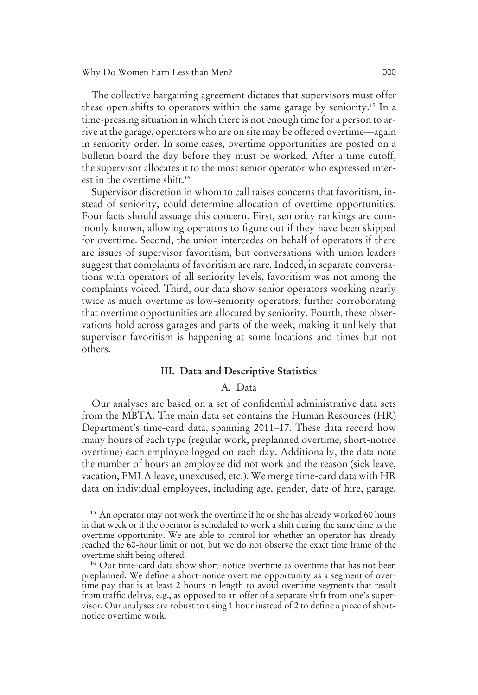Why Do Women Earn Less than Men? 000

The collective bargaining agreement dictates that supervisors must offer these open shifts to operators within the same garage by seniority.<sup>15</sup> In a time-pressing situation in which there is not enough time for a person to arrive at the garage, operators who are on site may be offered overtime—again in seniority order. In some cases, overtime opportunities are posted on a bulletin board the day before they must be worked. After a time cutoff, the supervisor allocates it to the most senior operator who expressed interest in the overtime shift.<sup>16</sup>

Supervisor discretion in whom to call raises concerns that favoritism, instead of seniority, could determine allocation of overtime opportunities. Four facts should assuage this concern. First, seniority rankings are commonly known, allowing operators to figure out if they have been skipped for overtime. Second, the union intercedes on behalf of operators if there are issues of supervisor favoritism, but conversations with union leaders suggest that complaints of favoritism are rare. Indeed, in separate conversations with operators of all seniority levels, favoritism was not among the complaints voiced. Third, our data show senior operators working nearly twice as much overtime as low-seniority operators, further corroborating that overtime opportunities are allocated by seniority. Fourth, these observations hold across garages and parts of the week, making it unlikely that supervisor favoritism is happening at some locations and times but not others.

#### III. Data and Descriptive Statistics

#### A. Data

Our analyses are based on a set of confidential administrative data sets from the MBTA. The main data set contains the Human Resources (HR) Department's time-card data, spanning 2011–17. These data record how many hours of each type (regular work, preplanned overtime, short-notice overtime) each employee logged on each day. Additionally, the data note the number of hours an employee did not work and the reason (sick leave, vacation, FMLA leave, unexcused, etc.). We merge time-card data with HR data on individual employees, including age, gender, date of hire, garage,

<sup>&</sup>lt;sup>15</sup> An operator may not work the overtime if he or she has already worked 60 hours in that week or if the operator is scheduled to work a shift during the same time as the overtime opportunity. We are able to control for whether an operator has already reached the 60-hour limit or not, but we do not observe the exact time frame of the overtime shift being offered.

<sup>&</sup>lt;sup>16</sup> Our time-card data show short-notice overtime as overtime that has not been preplanned. We define a short-notice overtime opportunity as a segment of overtime pay that is at least 2 hours in length to avoid overtime segments that result from traffic delays, e.g., as opposed to an offer of a separate shift from one's supervisor. Our analyses are robust to using 1 hour instead of 2 to define a piece of shortnotice overtime work.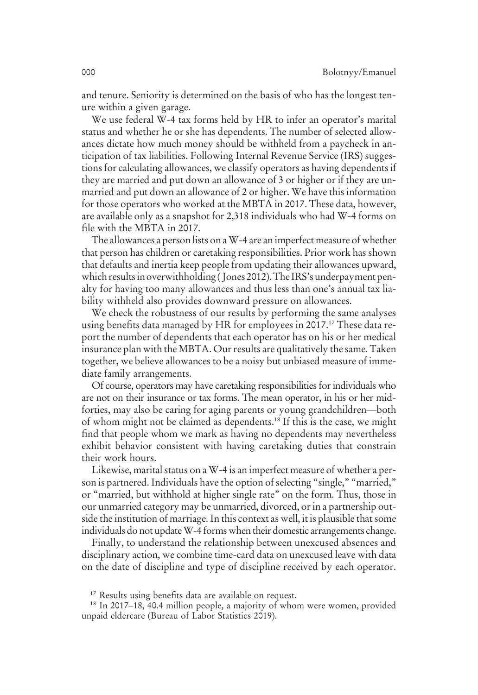and tenure. Seniority is determined on the basis of who has the longest tenure within a given garage.

We use federal W-4 tax forms held by HR to infer an operator's marital status and whether he or she has dependents. The number of selected allowances dictate how much money should be withheld from a paycheck in anticipation of tax liabilities. Following Internal Revenue Service (IRS) suggestions for calculating allowances, we classify operators as having dependents if they are married and put down an allowance of 3 or higher or if they are unmarried and put down an allowance of 2 or higher. We have this information for those operators who worked at the MBTA in 2017. These data, however, are available only as a snapshot for 2,318 individuals who had W-4 forms on file with the MBTA in 2017.

The allowances a person lists on aW-4 are an imperfect measure of whether that person has children or caretaking responsibilities. Prior work has shown that defaults and inertia keep people from updating their allowances upward, which results in overwithholding (Jones 2012). The IRS's underpayment penalty for having too many allowances and thus less than one's annual tax liability withheld also provides downward pressure on allowances.

We check the robustness of our results by performing the same analyses using benefits data managed by HR for employees in 2017.<sup>17</sup> These data report the number of dependents that each operator has on his or her medical insurance plan with the MBTA. Our results are qualitatively the same. Taken together, we believe allowances to be a noisy but unbiased measure of immediate family arrangements.

Of course, operators may have caretaking responsibilities for individuals who are not on their insurance or tax forms. The mean operator, in his or her midforties, may also be caring for aging parents or young grandchildren—both of whom might not be claimed as dependents.<sup>18</sup> If this is the case, we might find that people whom we mark as having no dependents may nevertheless exhibit behavior consistent with having caretaking duties that constrain their work hours.

Likewise, marital status on a W-4 is an imperfect measure of whether a person is partnered. Individuals have the option of selecting "single," "married," or "married, but withhold at higher single rate" on the form. Thus, those in our unmarried category may be unmarried, divorced, or in a partnership outside the institution of marriage. In this context as well, it is plausible that some individuals do not update W-4 forms when their domestic arrangements change.

Finally, to understand the relationship between unexcused absences and disciplinary action, we combine time-card data on unexcused leave with data on the date of discipline and type of discipline received by each operator.

<sup>&</sup>lt;sup>17</sup> Results using benefits data are available on request.

<sup>18</sup> In 2017–18, 40.4 million people, a majority of whom were women, provided unpaid eldercare (Bureau of Labor Statistics 2019).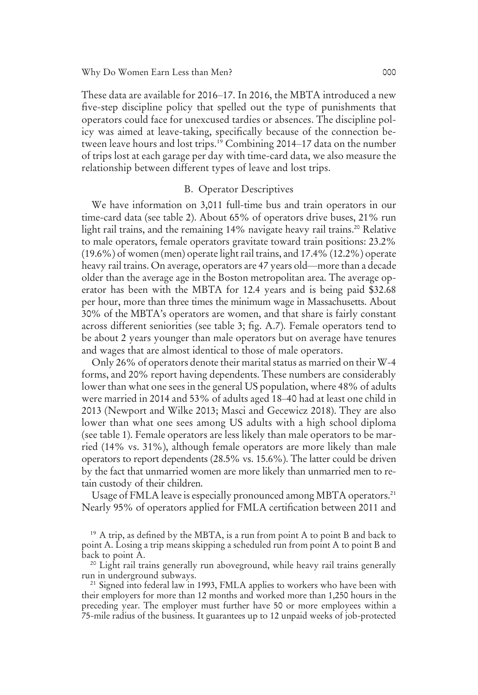These data are available for 2016–17. In 2016, the MBTA introduced a new five-step discipline policy that spelled out the type of punishments that operators could face for unexcused tardies or absences. The discipline policy was aimed at leave-taking, specifically because of the connection between leave hours and lost trips.<sup>19</sup> Combining 2014–17 data on the number of trips lost at each garage per day with time-card data, we also measure the relationship between different types of leave and lost trips.

#### B. Operator Descriptives

We have information on 3,011 full-time bus and train operators in our time-card data (see table 2). About 65% of operators drive buses, 21% run light rail trains, and the remaining 14% navigate heavy rail trains.<sup>20</sup> Relative to male operators, female operators gravitate toward train positions: 23.2% (19.6%) of women (men) operate light rail trains, and 17.4% (12.2%) operate heavy rail trains. On average, operators are 47 years old—more than a decade older than the average age in the Boston metropolitan area. The average operator has been with the MBTA for 12.4 years and is being paid \$32.68 per hour, more than three times the minimum wage in Massachusetts. About 30% of the MBTA's operators are women, and that share is fairly constant across different seniorities (see table 3; fig. A.7). Female operators tend to be about 2 years younger than male operators but on average have tenures and wages that are almost identical to those of male operators.

Only 26% of operators denote their marital status as married on their W-4 forms, and 20% report having dependents. These numbers are considerably lower than what one sees in the general US population, where 48% of adults were married in 2014 and 53% of adults aged 18–40 had at least one child in 2013 (Newport and Wilke 2013; Masci and Gecewicz 2018). They are also lower than what one sees among US adults with a high school diploma (see table 1). Female operators are less likely than male operators to be married (14% vs. 31%), although female operators are more likely than male operators to report dependents (28.5% vs. 15.6%). The latter could be driven by the fact that unmarried women are more likely than unmarried men to retain custody of their children.

Usage of FMLA leave is especially pronounced among MBTA operators.<sup>21</sup> Nearly 95% of operators applied for FMLA certification between 2011 and

<sup>19</sup> A trip, as defined by the MBTA, is a run from point A to point B and back to point A. Losing a trip means skipping a scheduled run from point A to point B and back to point A.

<sup>&</sup>lt;sup>20</sup> Light rail trains generally run aboveground, while heavy rail trains generally run in underground subways.

<sup>&</sup>lt;sup>21</sup> Signed into federal law in 1993, FMLA applies to workers who have been with their employers for more than 12 months and worked more than 1,250 hours in the preceding year. The employer must further have 50 or more employees within a 75-mile radius of the business. It guarantees up to 12 unpaid weeks of job-protected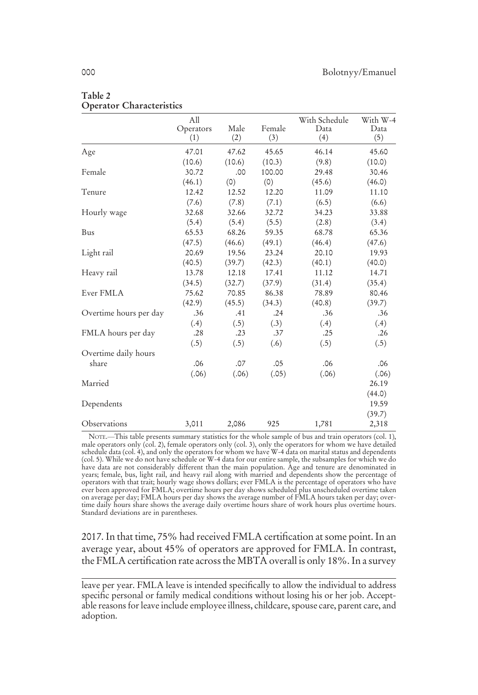|                        | All              |             |               | With Schedule | With W-4    |
|------------------------|------------------|-------------|---------------|---------------|-------------|
|                        | Operators<br>(1) | Male<br>(2) | Female<br>(3) | Data<br>(4)   | Data<br>(5) |
| Age                    | 47.01            | 47.62       | 45.65         | 46.14         | 45.60       |
|                        | (10.6)           | (10.6)      | (10.3)        | (9.8)         | (10.0)      |
| Female                 | 30.72            | .00         | 100.00        | 29.48         | 30.46       |
|                        | (46.1)           | (0)         | (0)           | (45.6)        | (46.0)      |
| Tenure                 | 12.42            | 12.52       | 12.20         | 11.09         | 11.10       |
|                        | (7.6)            | (7.8)       | (7.1)         | (6.5)         | (6.6)       |
| Hourly wage            | 32.68            | 32.66       | 32.72         | 34.23         | 33.88       |
|                        | (5.4)            | (5.4)       | (5.5)         | (2.8)         | (3.4)       |
| Bus                    | 65.53            | 68.26       | 59.35         | 68.78         | 65.36       |
|                        | (47.5)           | (46.6)      | (49.1)        | (46.4)        | (47.6)      |
| Light rail             | 20.69            | 19.56       | 23.24         | 20.10         | 19.93       |
|                        | (40.5)           | (39.7)      | (42.3)        | (40.1)        | (40.0)      |
| Heavy rail             | 13.78            | 12.18       | 17.41         | 11.12         | 14.71       |
|                        | (34.5)           | (32.7)      | (37.9)        | (31.4)        | (35.4)      |
| Ever FMLA              | 75.62            | 70.85       | 86.38         | 78.89         | 80.46       |
|                        | (42.9)           | (45.5)      | (34.3)        | (40.8)        | (39.7)      |
| Overtime hours per day | .36              | .41         | .24           | .36           | .36         |
|                        | (.4)             | (.5)        | (.3)          | (.4)          | (.4)        |
| FMLA hours per day     | .28              | .23         | .37           | .25           | .26         |
|                        | (.5)             | (.5)        | (.6)          | (.5)          | (.5)        |
| Overtime daily hours   |                  |             |               |               |             |
| share                  | .06              | .07         | .05           | .06           | .06         |
|                        | (.06)            | (.06)       | (.05)         | (.06)         | (.06)       |
| Married                |                  |             |               |               | 26.19       |
|                        |                  |             |               |               | (44.0)      |
| Dependents             |                  |             |               |               | 19.59       |
|                        |                  |             |               |               | (39.7)      |
| Observations           | 3,011            | 2,086       | 925           | 1,781         | 2,318       |

#### Table 2 Operator Characteristics

NOTE.—This table presents summary statistics for the whole sample of bus and train operators (col. 1), male operators only (col. 2), female operators only (col. 3), only the operators for whom we have detailed schedule data (col. 4), and only the operators for whom we have W-4 data on marital status and dependents<br>(col. 5). While we do not have schedule or W-4 data for our entire sample, the subsamples for which we do<br>have data years; female, bus, light rail, and heavy rail along with married and dependents show the percentage of<br>operators with that trait; hourly wage shows dollars; ever FMLA is the percentage of operators who have<br>ever been appr on average per day; FMLA hours per day shows the average number of FMLA hours taken per day; overtime daily hours share shows the average daily overtime hours share of work hours plus overtime hours. Standard deviations are in parentheses.

2017. In that time, 75% had received FMLA certification at some point. In an average year, about 45% of operators are approved for FMLA. In contrast, the FMLA certification rate across the MBTA overall is only 18%. In a survey

leave per year. FMLA leave is intended specifically to allow the individual to address specific personal or family medical conditions without losing his or her job. Acceptable reasons for leave include employee illness, childcare, spouse care, parent care, and adoption.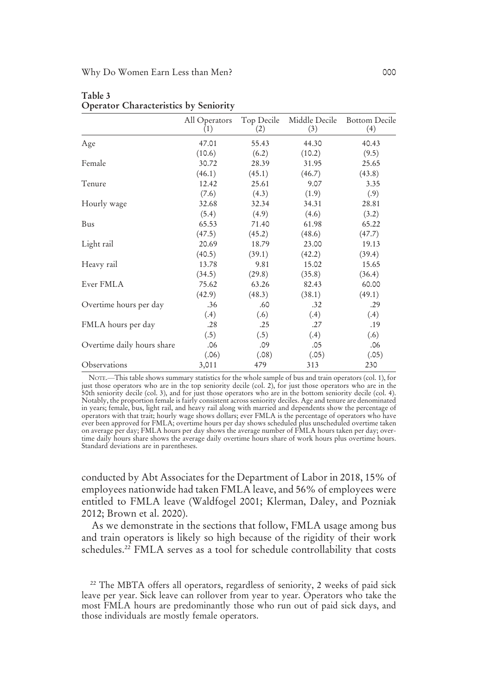|                            | All Operators | Top Decile | Middle Decile | <b>Bottom Decile</b> |
|----------------------------|---------------|------------|---------------|----------------------|
|                            | (1)           | (2)        | (3)           | (4)                  |
| Age                        | 47.01         | 55.43      | 44.30         | 40.43                |
|                            | (10.6)        | (6.2)      | (10.2)        | (9.5)                |
| Female                     | 30.72         | 28.39      | 31.95         | 25.65                |
|                            | (46.1)        | (45.1)     | (46.7)        | (43.8)               |
| Tenure                     | 12.42         | 25.61      | 9.07          | 3.35                 |
|                            | (7.6)         | (4.3)      | (1.9)         | (.9)                 |
| Hourly wage                | 32.68         | 32.34      | 34.31         | 28.81                |
|                            | (5.4)         | (4.9)      | (4.6)         | (3.2)                |
| Bus                        | 65.53         | 71.40      | 61.98         | 65.22                |
|                            | (47.5)        | (45.2)     | (48.6)        | (47.7)               |
| Light rail                 | 20.69         | 18.79      | 23.00         | 19.13                |
|                            | (40.5)        | (39.1)     | (42.2)        | (39.4)               |
| Heavy rail                 | 13.78         | 9.81       | 15.02         | 15.65                |
|                            | (34.5)        | (29.8)     | (35.8)        | (36.4)               |
| Ever FMLA                  | 75.62         | 63.26      | 82.43         | 60.00                |
|                            | (42.9)        | (48.3)     | (38.1)        | (49.1)               |
| Overtime hours per day     | .36           | .60        | .32           | .29                  |
|                            | (.4)          | (.6)       | (.4)          | (.4)                 |
| FMLA hours per day         | .28           | .25        | .27           | .19                  |
|                            | (.5)          | (.5)       | (.4)          | (.6)                 |
| Overtime daily hours share | .06           | .09        | .05           | .06                  |
| Observations               | (.06)         | (.08)      | (.05)         | (.05)                |
|                            | 3,011         | 479        | 313           | 230                  |

Table 3 Operator Characteristics by Seniority

NOTE.—This table shows summary statistics for the whole sample of bus and train operators (col. 1), for just those operators who are in the top seniority decile (col. 2), for just those operators who are in the 50th seniority decile (col. 3), and for just those operators who are in the bottom seniority decile (col. 4). Notably, the proportion female is fairly consistent across seniority deciles. Age and tenure are denominated in years; female, bus, light rail, and heavy rail along with married and dependents show the percentage of operators with that trait; hourly wage shows dollars; ever FMLA is the percentage of operators who have ever been approved for FMLA; overtime hours per day shows scheduled plus unscheduled overtime taken<br>on average per day; FMLA hours per day shows the average number of FMLA hours taken per day; over-<br>time daily hours share Standard deviations are in parentheses.

conducted by Abt Associates for the Department of Labor in 2018, 15% of employees nationwide had taken FMLA leave, and 56% of employees were entitled to FMLA leave (Waldfogel 2001; Klerman, Daley, and Pozniak 2012; Brown et al. 2020).

As we demonstrate in the sections that follow, FMLA usage among bus and train operators is likely so high because of the rigidity of their work schedules.<sup>22</sup> FMLA serves as a tool for schedule controllability that costs

<sup>&</sup>lt;sup>22</sup> The MBTA offers all operators, regardless of seniority, 2 weeks of paid sick leave per year. Sick leave can rollover from year to year. Operators who take the most FMLA hours are predominantly those who run out of paid sick days, and those individuals are mostly female operators.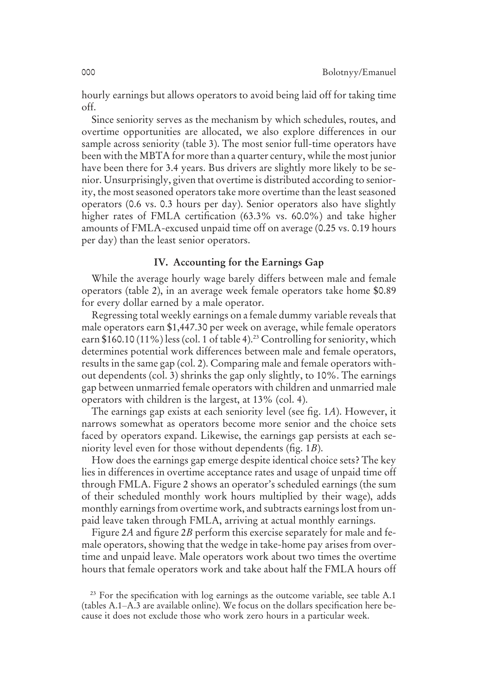hourly earnings but allows operators to avoid being laid off for taking time off.

Since seniority serves as the mechanism by which schedules, routes, and overtime opportunities are allocated, we also explore differences in our sample across seniority (table 3). The most senior full-time operators have been with the MBTA for more than a quarter century, while the most junior have been there for 3.4 years. Bus drivers are slightly more likely to be senior. Unsurprisingly, given that overtime is distributed according to seniority, the most seasoned operators take more overtime than the least seasoned operators (0.6 vs. 0.3 hours per day). Senior operators also have slightly higher rates of FMLA certification (63.3% vs. 60.0%) and take higher amounts of FMLA-excused unpaid time off on average (0.25 vs. 0.19 hours per day) than the least senior operators.

## IV. Accounting for the Earnings Gap

While the average hourly wage barely differs between male and female operators (table 2), in an average week female operators take home \$0.89 for every dollar earned by a male operator.

Regressing total weekly earnings on a female dummy variable reveals that male operators earn \$1,447.30 per week on average, while female operators earn \$160.10 (11%) less (col. 1 of table 4).<sup>23</sup> Controlling for seniority, which determines potential work differences between male and female operators, results in the same gap (col. 2). Comparing male and female operators without dependents (col. 3) shrinks the gap only slightly, to 10%. The earnings gap between unmarried female operators with children and unmarried male operators with children is the largest, at 13% (col. 4).

The earnings gap exists at each seniority level (see fig. 1*A*). However, it narrows somewhat as operators become more senior and the choice sets faced by operators expand. Likewise, the earnings gap persists at each seniority level even for those without dependents (fig. 1*B*).

How does the earnings gap emerge despite identical choice sets? The key lies in differences in overtime acceptance rates and usage of unpaid time off through FMLA. Figure 2 shows an operator's scheduled earnings (the sum of their scheduled monthly work hours multiplied by their wage), adds monthly earnings from overtime work, and subtracts earnings lost from unpaid leave taken through FMLA, arriving at actual monthly earnings.

Figure 2*A* and figure 2*B* perform this exercise separately for male and female operators, showing that the wedge in take-home pay arises from overtime and unpaid leave. Male operators work about two times the overtime hours that female operators work and take about half the FMLA hours off

<sup>&</sup>lt;sup>23</sup> For the specification with log earnings as the outcome variable, see table A.1 (tables A.1–A.3 are available online). We focus on the dollars specification here because it does not exclude those who work zero hours in a particular week.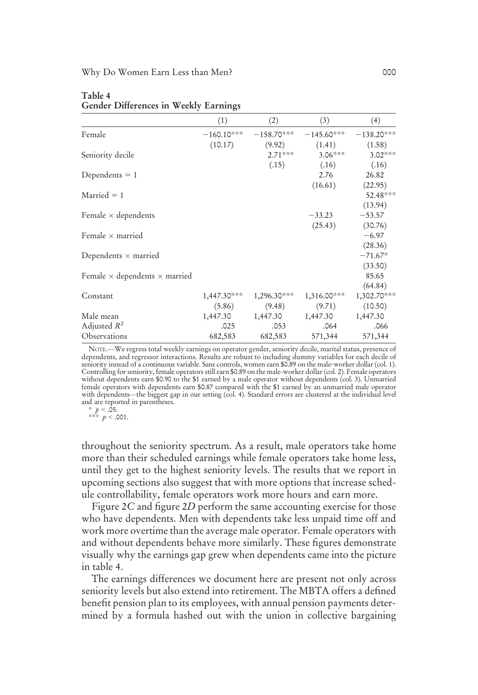|                                             | (1)          | (2)          | (3)           | (4)          |
|---------------------------------------------|--------------|--------------|---------------|--------------|
| Female                                      | $-160.10***$ | $-158.70***$ | $-145.60***$  | $-138.20***$ |
|                                             | (10.17)      | (9.92)       | (1.41)        | (1.58)       |
| Seniority decile                            |              | $2.71***$    | $3.06***$     | $3.02***$    |
|                                             |              | (.15)        | (.16)         | (.16)        |
| Dependents $= 1$                            |              |              | 2.76          | 26.82        |
|                                             |              |              | (16.61)       | (22.95)      |
| $Married = 1$                               |              |              |               | 52.48***     |
|                                             |              |              |               | (13.94)      |
| Female $\times$ dependents                  |              |              | $-33.23$      | $-53.57$     |
|                                             |              |              | (25.43)       | (30.76)      |
| Female $\times$ married                     |              |              |               | $-6.97$      |
|                                             |              |              |               | (28.36)      |
| Dependents $\times$ married                 |              |              |               | $-71.67*$    |
|                                             |              |              |               | (33.50)      |
| Female $\times$ dependents $\times$ married |              |              |               | 85.65        |
|                                             |              |              |               | (64.84)      |
| Constant                                    | 1,447.30***  | 1,296.30***  | $1,316.00***$ | 1,302.70***  |
|                                             | (5.86)       | (9.48)       | (9.71)        | (10.50)      |
| Male mean                                   | 1,447.30     | 1,447.30     | 1,447.30      | 1,447.30     |
| Adjusted $R^2$                              | .025         | .053         | .064          | .066         |
| Observations                                | 682,583      | 682,583      | 571,344       | 571,344      |

#### Table 4 Gender Differences in Weekly Earnings

NOTE.—We regress total weekly earnings on operator gender, seniority decile, marital status, presence of dependents, and regressor interactions. Results are robust to including dummy variables for each decile of seniority instead of a continuous variable. Sans controls, women earn \$0.89 on the male-worker dollar (col. 1). Controlling for seniority, female operators still earn \$0.89 on the male-worker dollar (col. 2). Female operators without dependents earn \$0.90 to the \$1 earned by a male operator without dependents (col. 3). Unmarried female operators with dependents earn \$0.87 compared with the \$1 earned by an unmarried male operator with dependents—the biggest gap in our setting (col. 4). Standard errors are clustered at the individual level and are reported in parentheses.

\* *p* < .05. \*\*\* *p* < .001.

throughout the seniority spectrum. As a result, male operators take home more than their scheduled earnings while female operators take home less, until they get to the highest seniority levels. The results that we report in upcoming sections also suggest that with more options that increase schedule controllability, female operators work more hours and earn more.

Figure 2*C* and figure 2*D* perform the same accounting exercise for those who have dependents. Men with dependents take less unpaid time off and work more overtime than the average male operator. Female operators with and without dependents behave more similarly. These figures demonstrate visually why the earnings gap grew when dependents came into the picture in table 4.

The earnings differences we document here are present not only across seniority levels but also extend into retirement. The MBTA offers a defined benefit pension plan to its employees, with annual pension payments determined by a formula hashed out with the union in collective bargaining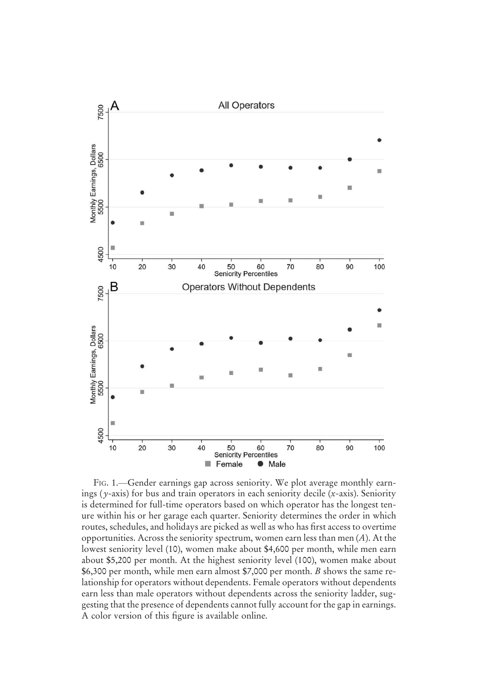

FIG. 1.—Gender earnings gap across seniority. We plot average monthly earnings (*y*-axis) for bus and train operators in each seniority decile (*x*-axis). Seniority is determined for full-time operators based on which operator has the longest tenure within his or her garage each quarter. Seniority determines the order in which routes, schedules, and holidays are picked as well as who has first access to overtime opportunities. Across the seniority spectrum, women earn less than men (*A*). At the lowest seniority level (10), women make about \$4,600 per month, while men earn about \$5,200 per month. At the highest seniority level (100), women make about \$6,300 per month, while men earn almost \$7,000 per month. *B* shows the same relationship for operators without dependents. Female operators without dependents earn less than male operators without dependents across the seniority ladder, suggesting that the presence of dependents cannot fully account for the gap in earnings. A color version of this figure is available online.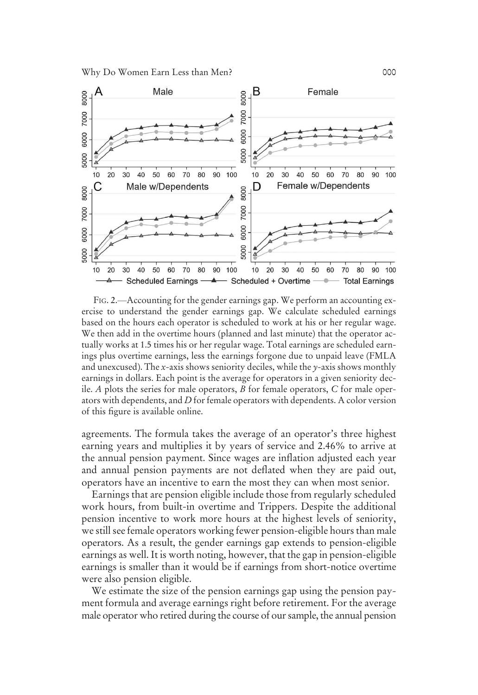

FIG. 2.—Accounting for the gender earnings gap. We perform an accounting exercise to understand the gender earnings gap. We calculate scheduled earnings based on the hours each operator is scheduled to work at his or her regular wage. We then add in the overtime hours (planned and last minute) that the operator actually works at 1.5 times his or her regular wage. Total earnings are scheduled earnings plus overtime earnings, less the earnings forgone due to unpaid leave (FMLA and unexcused). The *x*-axis shows seniority deciles, while the *y*-axis shows monthly earnings in dollars. Each point is the average for operators in a given seniority decile. *A* plots the series for male operators, *B* for female operators, *C* for male operators with dependents, and *D* for female operators with dependents. A color version of this figure is available online.

agreements. The formula takes the average of an operator's three highest earning years and multiplies it by years of service and 2.46% to arrive at the annual pension payment. Since wages are inflation adjusted each year and annual pension payments are not deflated when they are paid out, operators have an incentive to earn the most they can when most senior.

Earnings that are pension eligible include those from regularly scheduled work hours, from built-in overtime and Trippers. Despite the additional pension incentive to work more hours at the highest levels of seniority, we still see female operators working fewer pension-eligible hours than male operators. As a result, the gender earnings gap extends to pension-eligible earnings as well. It is worth noting, however, that the gap in pension-eligible earnings is smaller than it would be if earnings from short-notice overtime were also pension eligible.

We estimate the size of the pension earnings gap using the pension payment formula and average earnings right before retirement. For the average male operator who retired during the course of our sample, the annual pension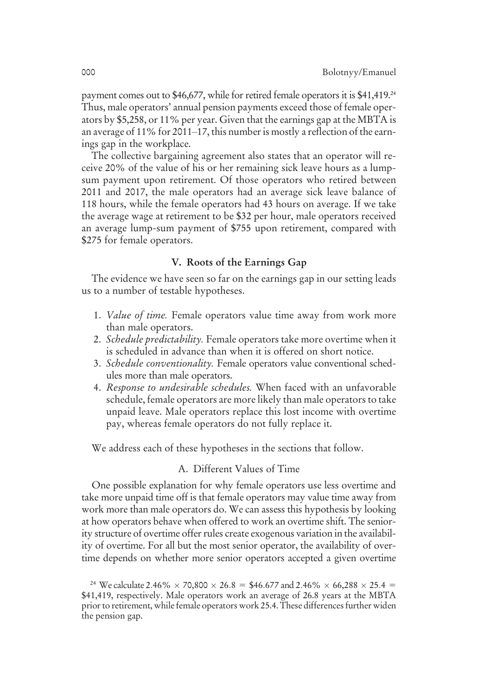payment comes out to \$46,677, while for retired female operators it is \$41,419.<sup>24</sup> Thus, male operators' annual pension payments exceed those of female operators by \$5,258, or 11% per year. Given that the earnings gap at the MBTA is an average of 11% for 2011–17, this number is mostly a reflection of the earnings gap in the workplace.

The collective bargaining agreement also states that an operator will receive 20% of the value of his or her remaining sick leave hours as a lumpsum payment upon retirement. Of those operators who retired between 2011 and 2017, the male operators had an average sick leave balance of 118 hours, while the female operators had 43 hours on average. If we take the average wage at retirement to be \$32 per hour, male operators received an average lump-sum payment of \$755 upon retirement, compared with \$275 for female operators.

#### V. Roots of the Earnings Gap

The evidence we have seen so far on the earnings gap in our setting leads us to a number of testable hypotheses.

- 1. *Value of time.* Female operators value time away from work more than male operators.
- 2. *Schedule predictability.* Female operators take more overtime when it is scheduled in advance than when it is offered on short notice.
- 3. *Schedule conventionality.* Female operators value conventional schedules more than male operators.
- 4. *Response to undesirable schedules.* When faced with an unfavorable schedule, female operators are more likely than male operators to take unpaid leave. Male operators replace this lost income with overtime pay, whereas female operators do not fully replace it.

We address each of these hypotheses in the sections that follow.

### A. Different Values of Time

One possible explanation for why female operators use less overtime and take more unpaid time off is that female operators may value time away from work more than male operators do. We can assess this hypothesis by looking at how operators behave when offered to work an overtime shift. The seniority structure of overtime offer rules create exogenous variation in the availability of overtime. For all but the most senior operator, the availability of overtime depends on whether more senior operators accepted a given overtime

<sup>&</sup>lt;sup>24</sup> We calculate 2.46%  $\times$  70,800  $\times$  26.8 = \$46.677 and 2.46%  $\times$  66,288  $\times$  25.4 = \$41,419, respectively. Male operators work an average of 26.8 years at the MBTA prior to retirement, while female operators work 25.4. These differences further widen the pension gap.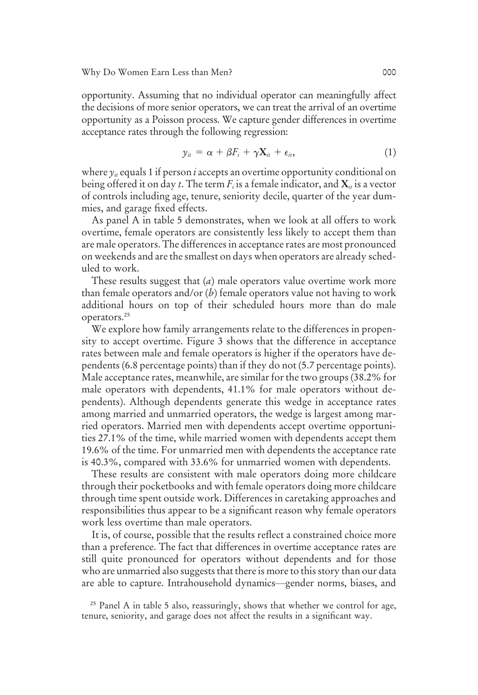opportunity. Assuming that no individual operator can meaningfully affect the decisions of more senior operators, we can treat the arrival of an overtime opportunity as a Poisson process. We capture gender differences in overtime acceptance rates through the following regression:

$$
y_{it} = \alpha + \beta F_i + \gamma \mathbf{X}_{it} + \epsilon_{it}, \qquad (1)
$$

where  $\gamma_i$  equals 1 if person *i* accepts an overtime opportunity conditional on being offered it on day *t*. The term *F<sup>i</sup>* is a female indicator, and X*it* is a vector of controls including age, tenure, seniority decile, quarter of the year dummies, and garage fixed effects.

As panel A in table 5 demonstrates, when we look at all offers to work overtime, female operators are consistently less likely to accept them than are male operators. The differences in acceptance rates are most pronounced on weekends and are the smallest on days when operators are already scheduled to work.

These results suggest that (*a*) male operators value overtime work more than female operators and/or (*b*) female operators value not having to work additional hours on top of their scheduled hours more than do male operators.<sup>25</sup>

We explore how family arrangements relate to the differences in propensity to accept overtime. Figure 3 shows that the difference in acceptance rates between male and female operators is higher if the operators have dependents (6.8 percentage points) than if they do not (5.7 percentage points). Male acceptance rates, meanwhile, are similar for the two groups (38.2% for male operators with dependents, 41.1% for male operators without dependents). Although dependents generate this wedge in acceptance rates among married and unmarried operators, the wedge is largest among married operators. Married men with dependents accept overtime opportunities 27.1% of the time, while married women with dependents accept them 19.6% of the time. For unmarried men with dependents the acceptance rate is 40.3%, compared with 33.6% for unmarried women with dependents.

These results are consistent with male operators doing more childcare through their pocketbooks and with female operators doing more childcare through time spent outside work. Differences in caretaking approaches and responsibilities thus appear to be a significant reason why female operators work less overtime than male operators.

It is, of course, possible that the results reflect a constrained choice more than a preference. The fact that differences in overtime acceptance rates are still quite pronounced for operators without dependents and for those who are unmarried also suggests that there is more to this story than our data are able to capture. Intrahousehold dynamics—gender norms, biases, and

<sup>&</sup>lt;sup>25</sup> Panel A in table 5 also, reassuringly, shows that whether we control for age, tenure, seniority, and garage does not affect the results in a significant way.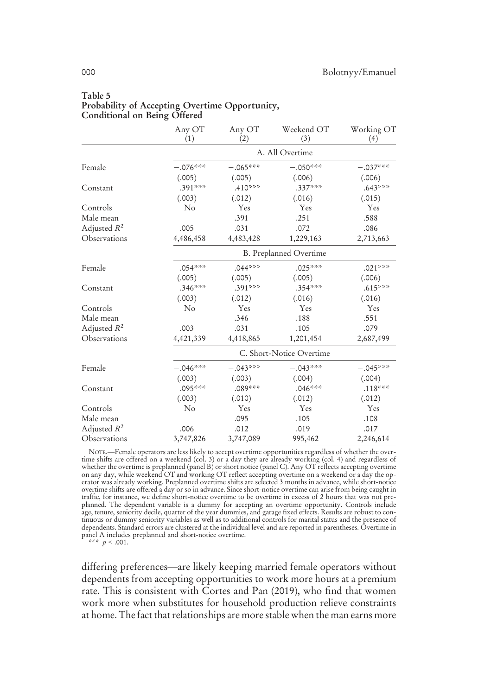|                | Any OT<br>(1) | Any OT<br>(2)            | Weekend OT<br>(3) | Working OT<br>(4) |  |  |  |
|----------------|---------------|--------------------------|-------------------|-------------------|--|--|--|
|                |               | A. All Overtime          |                   |                   |  |  |  |
| Female         | $-.076***$    | $-.065***$               | $-.050***$        | $-.037***$        |  |  |  |
|                | (.005)        | (.005)                   | (.006)            | (.006)            |  |  |  |
| Constant       | .391***       | .410***                  | $.337***$         | $.643***$         |  |  |  |
|                | (.003)        | (.012)                   | (.016)            | (.015)            |  |  |  |
| Controls       | $\rm No$      | Yes                      | Yes               | Yes               |  |  |  |
| Male mean      |               | .391                     | .251              | .588              |  |  |  |
| Adjusted $R^2$ | .005          | .031                     | .072              | .086              |  |  |  |
| Observations   | 4,486,458     | 4,483,428                | 1,229,163         | 2,713,663         |  |  |  |
|                |               | B. Preplanned Overtime   |                   |                   |  |  |  |
| Female         | $-.054***$    | $-.044***$               | $-.025***$        | $-.021***$        |  |  |  |
|                | (.005)        | (.005)                   | (.005)            | (.006)            |  |  |  |
| Constant       | $.346***$     | .391***                  | $.354***$         | $.615***$         |  |  |  |
|                | (.003)        | (.012)                   | (.016)            | (.016)            |  |  |  |
| Controls       | No            | Yes                      | Yes               | Yes               |  |  |  |
| Male mean      |               | .346                     | .188              | .551              |  |  |  |
| Adjusted $R^2$ | .003          | .031                     | .105              | .079              |  |  |  |
| Observations   | 4,421,339     | 4,418,865                | 1,201,454         | 2,687,499         |  |  |  |
|                |               | C. Short-Notice Overtime |                   |                   |  |  |  |
| Female         | $-.046***$    | $-.043***$               | $-.043***$        | $-.045***$        |  |  |  |
|                | (.003)        | (.003)                   | (.004)            | (.004)            |  |  |  |
| Constant       | .095***       | .089***                  | $.046***$         | $.118***$         |  |  |  |
|                | (.003)        | (.010)                   | (.012)            | (.012)            |  |  |  |
| Controls       | $\rm No$      | Yes                      | Yes               | Yes               |  |  |  |
| Male mean      |               | .095                     | .105              | .108              |  |  |  |
| Adjusted $R^2$ | .006          | .012                     | .019              | .017              |  |  |  |
| Observations   | 3,747,826     | 3,747,089                | 995,462           | 2,246,614         |  |  |  |

#### Table 5 Probability of Accepting Overtime Opportunity, Conditional on Being Offered

NOTE.—Female operators are less likely to accept overtime opportunities regardless of whether the overtime shifts are offered on a weekend (col. 3) or a day they are already working (col. 4) and regardless of whether the overtime is preplanned (panel B) or short notice (panel C). Any OT reflects accepting overtime on any day, while weekend OT and working OT reflect accepting overtime on a weekend or a day the op-erator was already working. Preplanned overtime shifts are selected 3 months in advance, while short-notice overtime shifts are offered a day or so in advance. Since short-notice overtime can arise from being caught in traffic, for instance, we define short-notice overtime to be overtime in excess of 2 hours that was not preplanned. The dependent variable is a dummy for accepting an overtime opportunity. Controls include age, tenure, seniority decile, quarter of the year dummies, and garage fixed effects. Results are robust to continuous or dummy seniority variables as well as to additional controls for marital status and the presence of dependents. Standard errors are clustered at the individual level and are reported in parentheses. Overtime in panel A includes preplanned and short-notice overtime.

\*\*\*  $p < .001$ .

differing preferences—are likely keeping married female operators without dependents from accepting opportunities to work more hours at a premium rate. This is consistent with Cortes and Pan (2019), who find that women work more when substitutes for household production relieve constraints at home. The fact that relationships are more stable when the man earns more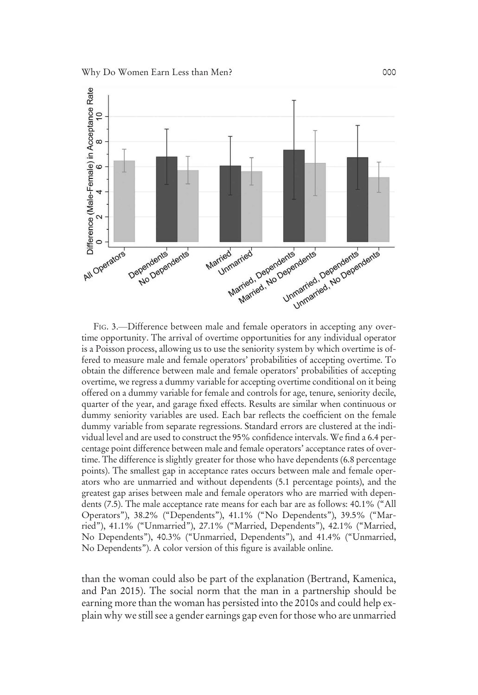

FIG. 3.—Difference between male and female operators in accepting any overtime opportunity. The arrival of overtime opportunities for any individual operator is a Poisson process, allowing us to use the seniority system by which overtime is offered to measure male and female operators' probabilities of accepting overtime. To obtain the difference between male and female operators' probabilities of accepting overtime, we regress a dummy variable for accepting overtime conditional on it being offered on a dummy variable for female and controls for age, tenure, seniority decile, quarter of the year, and garage fixed effects. Results are similar when continuous or dummy seniority variables are used. Each bar reflects the coefficient on the female dummy variable from separate regressions. Standard errors are clustered at the individual level and are used to construct the 95% confidence intervals. We find a 6.4 percentage point difference between male and female operators' acceptance rates of overtime. The difference is slightly greater for those who have dependents (6.8 percentage points). The smallest gap in acceptance rates occurs between male and female operators who are unmarried and without dependents (5.1 percentage points), and the greatest gap arises between male and female operators who are married with dependents (7.5). The male acceptance rate means for each bar are as follows: 40.1% ("All Operators"), 38.2% ("Dependents"), 41.1% ("No Dependents"), 39.5% ("Married"), 41.1% ("Unmarried"), 27.1% ("Married, Dependents"), 42.1% ("Married, No Dependents"), 40.3% ("Unmarried, Dependents"), and 41.4% ("Unmarried, No Dependents"). A color version of this figure is available online.

than the woman could also be part of the explanation (Bertrand, Kamenica, and Pan 2015). The social norm that the man in a partnership should be earning more than the woman has persisted into the 2010s and could help explain why we still see a gender earnings gap even for those who are unmarried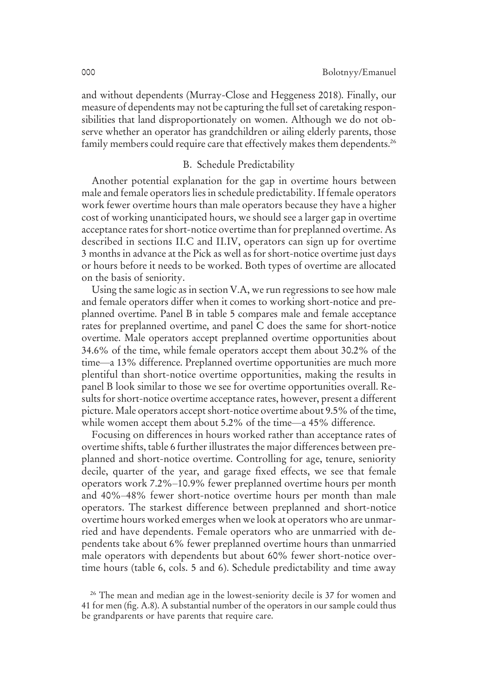and without dependents (Murray-Close and Heggeness 2018). Finally, our measure of dependents may not be capturing the full set of caretaking responsibilities that land disproportionately on women. Although we do not observe whether an operator has grandchildren or ailing elderly parents, those family members could require care that effectively makes them dependents.<sup>26</sup>

#### B. Schedule Predictability

Another potential explanation for the gap in overtime hours between male and female operators lies in schedule predictability. If female operators work fewer overtime hours than male operators because they have a higher cost of working unanticipated hours, we should see a larger gap in overtime acceptance rates for short-notice overtime than for preplanned overtime. As described in sections II.C and II.IV, operators can sign up for overtime 3 months in advance at the Pick as well as for short-notice overtime just days or hours before it needs to be worked. Both types of overtime are allocated on the basis of seniority.

Using the same logic as in section V.A, we run regressions to see how male and female operators differ when it comes to working short-notice and preplanned overtime. Panel B in table 5 compares male and female acceptance rates for preplanned overtime, and panel C does the same for short-notice overtime. Male operators accept preplanned overtime opportunities about 34.6% of the time, while female operators accept them about 30.2% of the time—a 13% difference. Preplanned overtime opportunities are much more plentiful than short-notice overtime opportunities, making the results in panel B look similar to those we see for overtime opportunities overall. Results for short-notice overtime acceptance rates, however, present a different picture. Male operators accept short-notice overtime about 9.5% of the time, while women accept them about 5.2% of the time—a 45% difference.

Focusing on differences in hours worked rather than acceptance rates of overtime shifts, table 6 further illustrates the major differences between preplanned and short-notice overtime. Controlling for age, tenure, seniority decile, quarter of the year, and garage fixed effects, we see that female operators work 7.2%–10.9% fewer preplanned overtime hours per month and 40%–48% fewer short-notice overtime hours per month than male operators. The starkest difference between preplanned and short-notice overtime hours worked emerges when we look at operators who are unmarried and have dependents. Female operators who are unmarried with dependents take about 6% fewer preplanned overtime hours than unmarried male operators with dependents but about 60% fewer short-notice overtime hours (table 6, cols. 5 and 6). Schedule predictability and time away

<sup>&</sup>lt;sup>26</sup> The mean and median age in the lowest-seniority decile is 37 for women and 41 for men (fig. A.8). A substantial number of the operators in our sample could thus be grandparents or have parents that require care.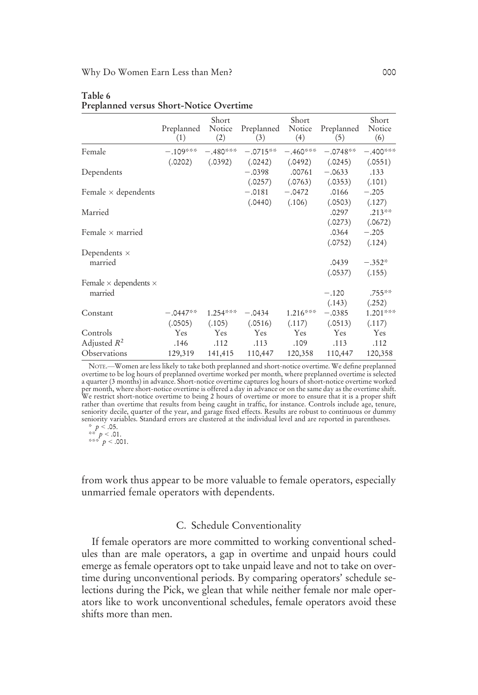|                                     | Preplanned<br>(1) | Short<br>Notice<br>(2) | Preplanned<br>(3)   | Short<br>Notice<br>(4) | Preplanned<br>(5)   | Short<br>Notice<br>(6) |
|-------------------------------------|-------------------|------------------------|---------------------|------------------------|---------------------|------------------------|
| Female                              | $-.109***$        | $-.480***$             | $-.0715**$          | $-.460***$             | $-.0748**$          | $-.400***$             |
|                                     |                   |                        |                     |                        |                     |                        |
| Dependents                          | (.0202)           | (.0392)                | (.0242)<br>$-.0398$ | (.0492)<br>.00761      | (.0245)<br>$-.0633$ | (.0551)<br>.133        |
| Female $\times$ dependents          |                   |                        | (.0257)<br>$-.0181$ | (.0763)<br>$-.0472$    | (.0353)<br>.0166    | (.101)<br>$-.205$      |
| Married                             |                   |                        | (.0440)             | (.106)                 | (.0503)<br>.0297    | (.127)<br>$.213***$    |
|                                     |                   |                        |                     |                        | (.0273)             | (.0672)                |
| Female $\times$ married             |                   |                        |                     |                        | .0364               | $-.205$                |
|                                     |                   |                        |                     |                        | (.0752)             | (.124)                 |
| Dependents $\times$                 |                   |                        |                     |                        |                     |                        |
| married                             |                   |                        |                     |                        | .0439               | $-.352*$               |
|                                     |                   |                        |                     |                        | (.0537)             | (.155)                 |
| Female $\times$ dependents $\times$ |                   |                        |                     |                        |                     |                        |
| married                             |                   |                        |                     |                        | $-.120$             | $.755***$              |
|                                     |                   |                        |                     |                        | (.143)              | (.252)                 |
| Constant                            | $-.0447**$        | $1.254***$             | $-.0434$            | $1.216***$             | $-.0385$            | $1.201***$             |
|                                     | (.0505)           | (.105)                 | (.0516)             | (.117)                 | (.0513)             | (.117)                 |
| Controls                            | Yes               | Yes                    | Yes                 | Yes                    | Yes                 | Yes                    |
| Adjusted $R^2$                      | .146              | .112                   | .113                | .109                   | .113                | .112                   |
| Observations                        | 129,319           | 141,415                | 110,447             | 120,358                | 110,447             | 120,358                |

#### Table 6 Preplanned versus Short-Notice Overtime

NOTE.—Women are less likely to take both preplanned and short-notice overtime. We define preplanned overtime to be log hours of preplanned overtime worked per month, where preplanned overtime is selected a quarter (3 months) in advance. Short-notice overtime captures log hours of short-notice overtime worked per month, where short-notice overtime is offered a day in advance or on the same day as the overtime shift.<br>We restrict short-notice overtime to being 2 hours of overtime or more to ensure that it is a proper shift<br>rather seniority variables. Standard errors are clustered at the individual level and are reported in parentheses.

# $p < .05$ . \*\*  $p < .01$ .<br>\*\*\*  $p < .001$ .

from work thus appear to be more valuable to female operators, especially unmarried female operators with dependents.

#### C. Schedule Conventionality

If female operators are more committed to working conventional schedules than are male operators, a gap in overtime and unpaid hours could emerge as female operators opt to take unpaid leave and not to take on overtime during unconventional periods. By comparing operators' schedule selections during the Pick, we glean that while neither female nor male operators like to work unconventional schedules, female operators avoid these shifts more than men.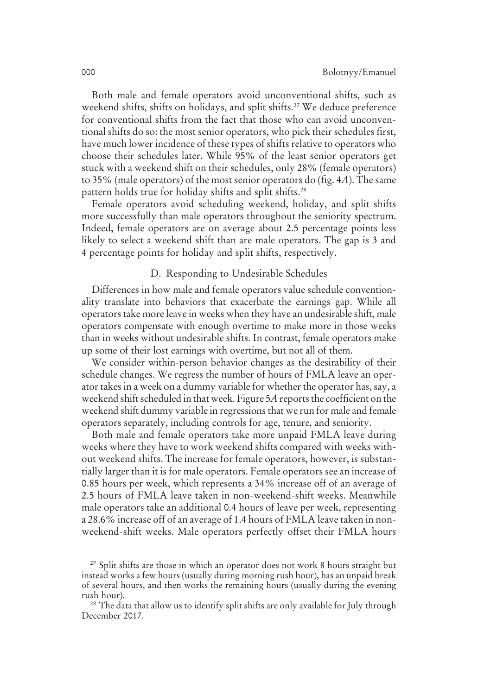Both male and female operators avoid unconventional shifts, such as weekend shifts, shifts on holidays, and split shifts.<sup>27</sup> We deduce preference for conventional shifts from the fact that those who can avoid unconventional shifts do so: the most senior operators, who pick their schedules first, have much lower incidence of these types of shifts relative to operators who choose their schedules later. While 95% of the least senior operators get stuck with a weekend shift on their schedules, only 28% (female operators) to 35% (male operators) of the most senior operators do (fig. 4*A*). The same pattern holds true for holiday shifts and split shifts.<sup>28</sup>

Female operators avoid scheduling weekend, holiday, and split shifts more successfully than male operators throughout the seniority spectrum. Indeed, female operators are on average about 2.5 percentage points less likely to select a weekend shift than are male operators. The gap is 3 and 4 percentage points for holiday and split shifts, respectively.

#### D. Responding to Undesirable Schedules

Differences in how male and female operators value schedule conventionality translate into behaviors that exacerbate the earnings gap. While all operators take more leave in weeks when they have an undesirable shift, male operators compensate with enough overtime to make more in those weeks than in weeks without undesirable shifts. In contrast, female operators make up some of their lost earnings with overtime, but not all of them.

We consider within-person behavior changes as the desirability of their schedule changes. We regress the number of hours of FMLA leave an operator takes in a week on a dummy variable for whether the operator has, say, a weekend shift scheduled in that week. Figure 5*A* reports the coefficient on the weekend shift dummy variable in regressions that we run for male and female operators separately, including controls for age, tenure, and seniority.

Both male and female operators take more unpaid FMLA leave during weeks where they have to work weekend shifts compared with weeks without weekend shifts. The increase for female operators, however, is substantially larger than it is for male operators. Female operators see an increase of 0.85 hours per week, which represents a 34% increase off of an average of 2.5 hours of FMLA leave taken in non-weekend-shift weeks. Meanwhile male operators take an additional 0.4 hours of leave per week, representing a 28.6% increase off of an average of 1.4 hours of FMLA leave taken in nonweekend-shift weeks. Male operators perfectly offset their FMLA hours

<sup>&</sup>lt;sup>27</sup> Split shifts are those in which an operator does not work 8 hours straight but instead works a few hours (usually during morning rush hour), has an unpaid break of several hours, and then works the remaining hours (usually during the evening rush hour).

<sup>&</sup>lt;sup>28</sup> The data that allow us to identify split shifts are only available for July through December 2017.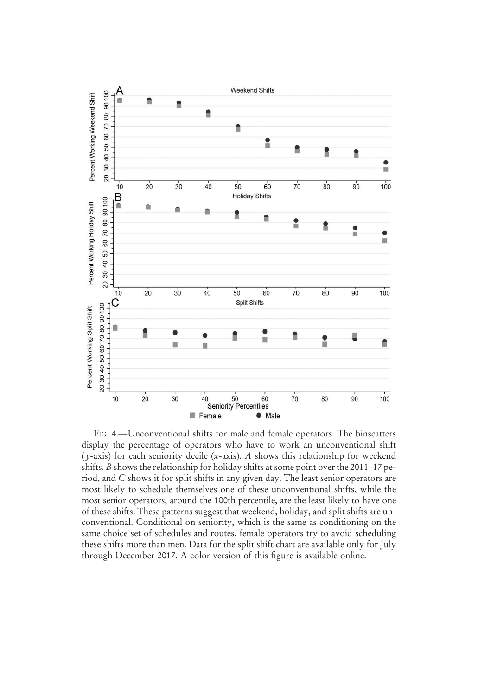

FIG. 4.—Unconventional shifts for male and female operators. The binscatters display the percentage of operators who have to work an unconventional shift (*y*-axis) for each seniority decile (*x*-axis). *A* shows this relationship for weekend shifts. *B* shows the relationship for holiday shifts at some point over the 2011–17 period, and *C* shows it for split shifts in any given day. The least senior operators are most likely to schedule themselves one of these unconventional shifts, while the most senior operators, around the 100th percentile, are the least likely to have one of these shifts. These patterns suggest that weekend, holiday, and split shifts are unconventional. Conditional on seniority, which is the same as conditioning on the same choice set of schedules and routes, female operators try to avoid scheduling these shifts more than men. Data for the split shift chart are available only for July through December 2017. A color version of this figure is available online.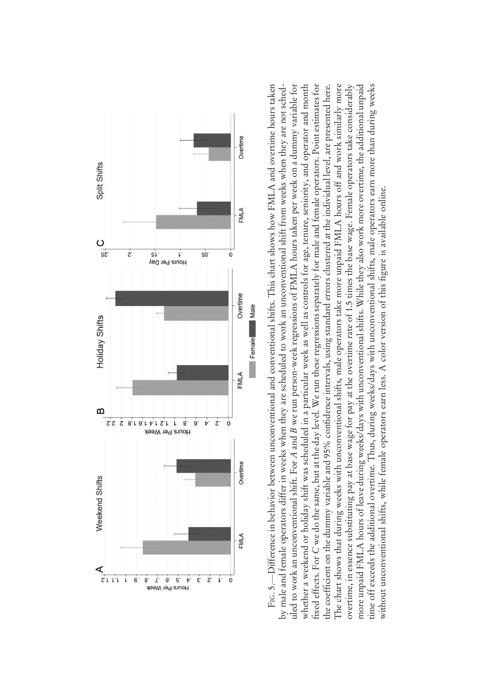

FIG. 5.—Difference in behavior between unconventional and conventional shifts. This chart shows how FMLA and overtime hours taken the coefficient on the dummy variable and 95% confidence intervals, using standard errors clustered at the individual level, are presented here.<br>The chart shows that during weeks with unconventional shifts, male operators fixed effects. For C we do the same, but at the day level. We run these regressions separately for male and female operators. Point estimates for overtime, in essence substituting pay at base wage for pay at the overtime rate of 1.5 times the base wage. Female operators take considerably more unpaid FMLA hours of leave during weeks/days with unconventional shifts. While they also work more overtime, the additional unpaid time off exceeds the additional overtime. Thus, during weeks/days with unconventional shifts, male operators earn more than during weeks —Difference in behavior between unconventional and conventional shifts. This chart shows how FMLA and overtime hours taken by male and female operators differ in weeks when they are scheduled to work an unconventional shift from weeks when they are not schedby male and female operators differ in weeks when they are scheduled to work an unconventional shift from weeks when they are not sched we run person-week regressions of FMLA hours taken per week on a dummy variable for whether a weekend or holiday shift was scheduled in a particular week as well as controls for age, tenure, seniority, and operator and month we do the same, but at the day level. We run these regressions separately for male and female operators. Point estimates for fidence intervals, using standard errors clustered at the individual level, are presented here. The chart shows that during weeks with unconventional shifts, male operators take more unpaid FMLA hours off and work similarly more overtime, in essence substituting pay at base wage for pay at the overtime rate of 1.5 times the base wage. Female operators take considerably more unpaid FMLA hours of leave during weeks/days with unconventional shifts. While they also work more overtime, the additional unpaid time off exceeds the additional overtime. Thus, during weeks/days with unconventional shifts, male operators earn more than during weeks without unconventional shifts, while female operators earn less. A color version of this figure is available online. figure is available online.without unconventional shifts, while female operators earn less. A color version of this ficient on the dummy variable and 95% con *A* and *B*uled to work an unconventional shift. For fixed effects. For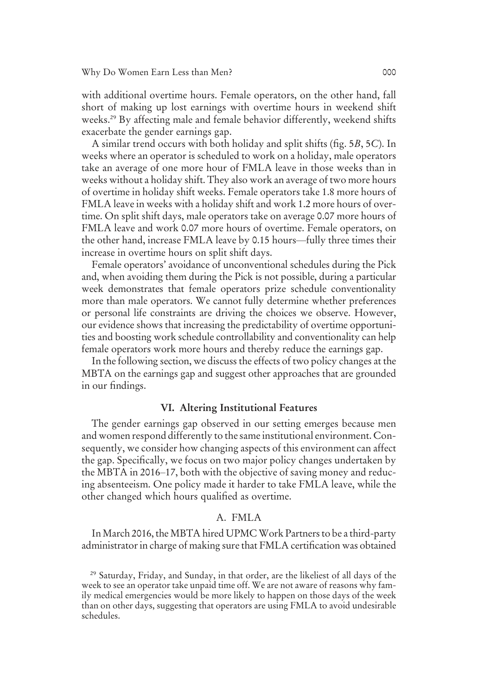with additional overtime hours. Female operators, on the other hand, fall short of making up lost earnings with overtime hours in weekend shift weeks.<sup>29</sup> By affecting male and female behavior differently, weekend shifts exacerbate the gender earnings gap.

A similar trend occurs with both holiday and split shifts (fig. 5*B*, 5*C*). In weeks where an operator is scheduled to work on a holiday, male operators take an average of one more hour of FMLA leave in those weeks than in weeks without a holiday shift. They also work an average of two more hours of overtime in holiday shift weeks. Female operators take 1.8 more hours of FMLA leave in weeks with a holiday shift and work 1.2 more hours of overtime. On split shift days, male operators take on average 0.07 more hours of FMLA leave and work 0.07 more hours of overtime. Female operators, on the other hand, increase FMLA leave by 0.15 hours—fully three times their increase in overtime hours on split shift days.

Female operators' avoidance of unconventional schedules during the Pick and, when avoiding them during the Pick is not possible, during a particular week demonstrates that female operators prize schedule conventionality more than male operators. We cannot fully determine whether preferences or personal life constraints are driving the choices we observe. However, our evidence shows that increasing the predictability of overtime opportunities and boosting work schedule controllability and conventionality can help female operators work more hours and thereby reduce the earnings gap.

In the following section, we discuss the effects of two policy changes at the MBTA on the earnings gap and suggest other approaches that are grounded in our findings.

#### VI. Altering Institutional Features

The gender earnings gap observed in our setting emerges because men and women respond differently to the same institutional environment. Consequently, we consider how changing aspects of this environment can affect the gap. Specifically, we focus on two major policy changes undertaken by the MBTA in 2016–17, both with the objective of saving money and reducing absenteeism. One policy made it harder to take FMLA leave, while the other changed which hours qualified as overtime.

#### A. FMLA

In March 2016, the MBTA hired UPMCWork Partners to be a third-party administrator in charge of making sure that FMLA certification was obtained

<sup>29</sup> Saturday, Friday, and Sunday, in that order, are the likeliest of all days of the week to see an operator take unpaid time off. We are not aware of reasons why family medical emergencies would be more likely to happen on those days of the week than on other days, suggesting that operators are using FMLA to avoid undesirable schedules.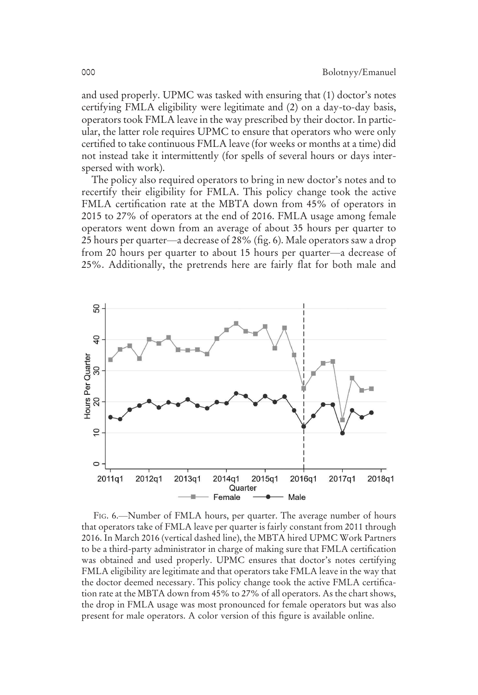and used properly. UPMC was tasked with ensuring that (1) doctor's notes certifying FMLA eligibility were legitimate and (2) on a day-to-day basis, operators took FMLA leave in the way prescribed by their doctor. In particular, the latter role requires UPMC to ensure that operators who were only certified to take continuous FMLA leave (for weeks or months at a time) did not instead take it intermittently (for spells of several hours or days interspersed with work).

The policy also required operators to bring in new doctor's notes and to recertify their eligibility for FMLA. This policy change took the active FMLA certification rate at the MBTA down from 45% of operators in 2015 to 27% of operators at the end of 2016. FMLA usage among female operators went down from an average of about 35 hours per quarter to 25 hours per quarter—a decrease of 28% (fig. 6). Male operators saw a drop from 20 hours per quarter to about 15 hours per quarter—a decrease of 25%. Additionally, the pretrends here are fairly flat for both male and



FIG. 6.—Number of FMLA hours, per quarter. The average number of hours that operators take of FMLA leave per quarter is fairly constant from 2011 through 2016. In March 2016 (vertical dashed line), the MBTA hired UPMC Work Partners to be a third-party administrator in charge of making sure that FMLA certification was obtained and used properly. UPMC ensures that doctor's notes certifying FMLA eligibility are legitimate and that operators take FMLA leave in the way that the doctor deemed necessary. This policy change took the active FMLA certification rate at the MBTA down from 45% to 27% of all operators. As the chart shows, the drop in FMLA usage was most pronounced for female operators but was also present for male operators. A color version of this figure is available online.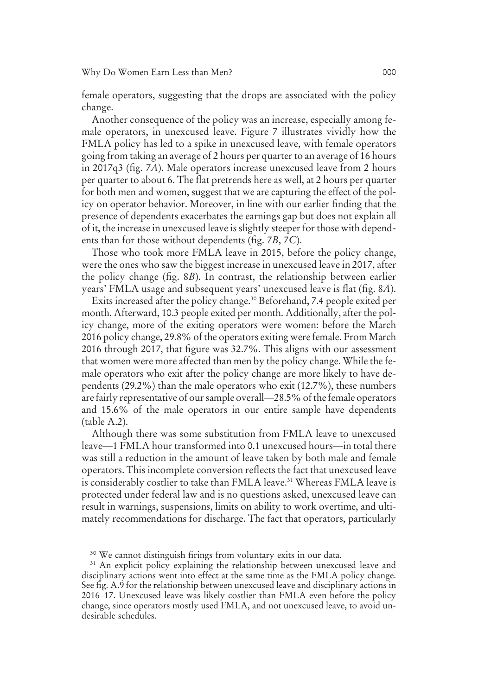female operators, suggesting that the drops are associated with the policy change.

Another consequence of the policy was an increase, especially among female operators, in unexcused leave. Figure 7 illustrates vividly how the FMLA policy has led to a spike in unexcused leave, with female operators going from taking an average of 2 hours per quarter to an average of 16 hours in 2017q3 (fig. 7*A*). Male operators increase unexcused leave from 2 hours per quarter to about 6. The flat pretrends here as well, at 2 hours per quarter for both men and women, suggest that we are capturing the effect of the policy on operator behavior. Moreover, in line with our earlier finding that the presence of dependents exacerbates the earnings gap but does not explain all of it, the increase in unexcused leave is slightly steeper for those with dependents than for those without dependents (fig. 7*B*, 7*C*).

Those who took more FMLA leave in 2015, before the policy change, were the ones who saw the biggest increase in unexcused leave in 2017, after the policy change (fig. 8*B*). In contrast, the relationship between earlier years' FMLA usage and subsequent years' unexcused leave is flat (fig. 8*A*).

Exits increased after the policy change.<sup>30</sup> Beforehand, 7.4 people exited per month. Afterward, 10.3 people exited per month. Additionally, after the policy change, more of the exiting operators were women: before the March 2016 policy change, 29.8% of the operators exiting were female. From March 2016 through 2017, that figure was 32.7%. This aligns with our assessment that women were more affected than men by the policy change. While the female operators who exit after the policy change are more likely to have dependents (29.2%) than the male operators who exit (12.7%), these numbers are fairly representative of our sample overall—28.5% of the female operators and 15.6% of the male operators in our entire sample have dependents (table A.2).

Although there was some substitution from FMLA leave to unexcused leave—1 FMLA hour transformed into 0.1 unexcused hours—in total there was still a reduction in the amount of leave taken by both male and female operators. This incomplete conversion reflects the fact that unexcused leave is considerably costlier to take than FMLA leave.<sup>31</sup> Whereas FMLA leave is protected under federal law and is no questions asked, unexcused leave can result in warnings, suspensions, limits on ability to work overtime, and ultimately recommendations for discharge. The fact that operators, particularly

<sup>&</sup>lt;sup>30</sup> We cannot distinguish firings from voluntary exits in our data.

<sup>&</sup>lt;sup>31</sup> An explicit policy explaining the relationship between unexcused leave and disciplinary actions went into effect at the same time as the FMLA policy change. See fig. A.9 for the relationship between unexcused leave and disciplinary actions in 2016–17. Unexcused leave was likely costlier than FMLA even before the policy change, since operators mostly used FMLA, and not unexcused leave, to avoid undesirable schedules.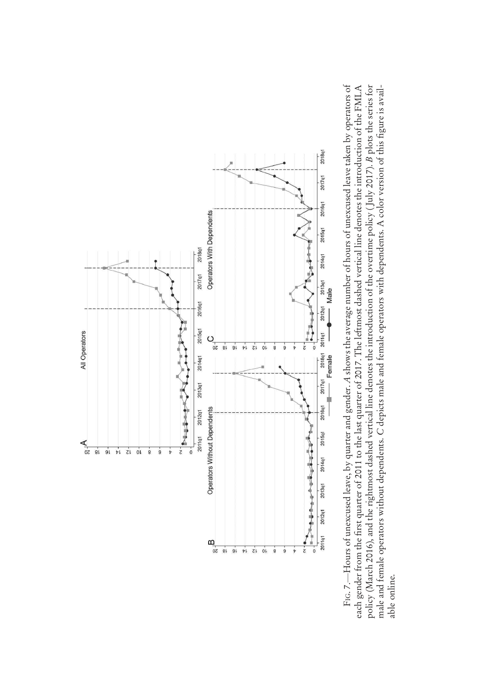

Fig. 7.—Hours of unexcused leave, by quarter and gender. A shows the average number of hours of unexcused leave taken by operators of<br>each gender from the first quarter of 2011 to the last quarter of 2017. The leftmost das *A* shows the average number of hours of unexcused leave taken by operators of policy (March 2016), and the rightmost dashed vertical line denotes the introduction of the overtime policy (July 2017). *B* plots the series for male and female operators without dependents. C depicts male and female operators with dependents. A color version of this figure is availfirst quarter of 2011 to the last quarter of 2017. The leftmost dashed vertical line denotes the introduction of the FMLA  $B$  plots the series for figure is avail depicts male and female operators with dependents. A color version of this policy (March 2016), and the rightmost dashed vertical line denotes the introduction of the overtime policy ( July 2017). —Hours of unexcused leave, by quarter and gender. male and female operators without dependents. each gender from the able online. able online.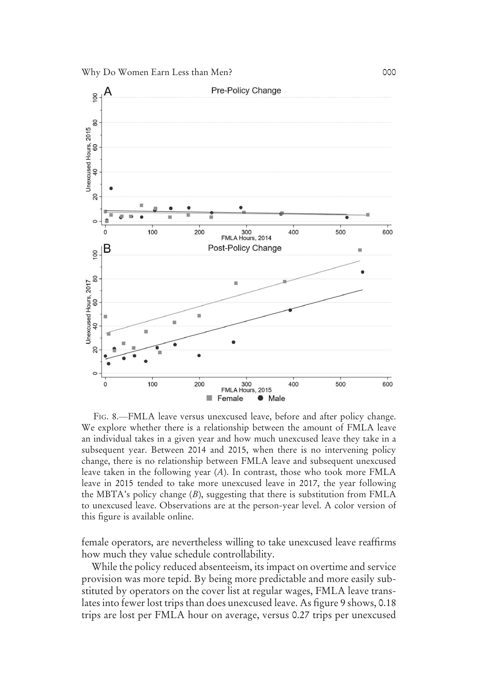

FIG. 8.—FMLA leave versus unexcused leave, before and after policy change. We explore whether there is a relationship between the amount of FMLA leave an individual takes in a given year and how much unexcused leave they take in a subsequent year. Between 2014 and 2015, when there is no intervening policy change, there is no relationship between FMLA leave and subsequent unexcused leave taken in the following year (*A*). In contrast, those who took more FMLA leave in 2015 tended to take more unexcused leave in 2017, the year following the MBTA's policy change (*B*), suggesting that there is substitution from FMLA to unexcused leave. Observations are at the person-year level. A color version of this figure is available online.

female operators, are nevertheless willing to take unexcused leave reaffirms how much they value schedule controllability.

While the policy reduced absenteeism, its impact on overtime and service provision was more tepid. By being more predictable and more easily substituted by operators on the cover list at regular wages, FMLA leave translates into fewer lost trips than does unexcused leave. As figure 9 shows, 0.18 trips are lost per FMLA hour on average, versus 0.27 trips per unexcused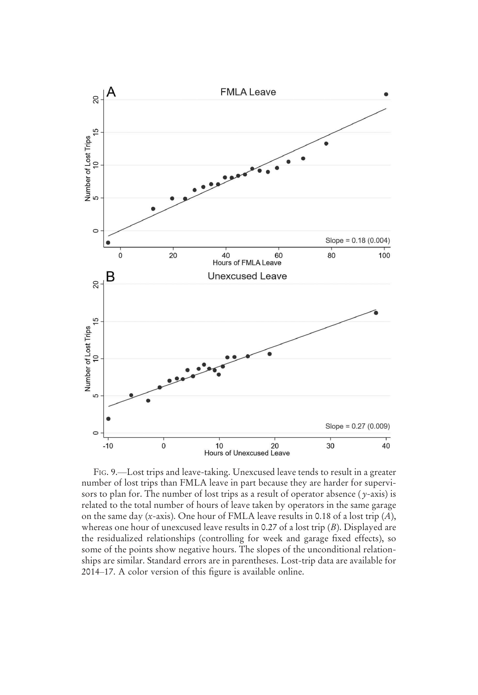

FIG. 9.—Lost trips and leave-taking. Unexcused leave tends to result in a greater number of lost trips than FMLA leave in part because they are harder for supervisors to plan for. The number of lost trips as a result of operator absence ( *y*-axis) is related to the total number of hours of leave taken by operators in the same garage on the same day (*x*-axis). One hour of FMLA leave results in 0.18 of a lost trip (*A*), whereas one hour of unexcused leave results in 0.27 of a lost trip (*B*). Displayed are the residualized relationships (controlling for week and garage fixed effects), so some of the points show negative hours. The slopes of the unconditional relationships are similar. Standard errors are in parentheses. Lost-trip data are available for 2014–17. A color version of this figure is available online.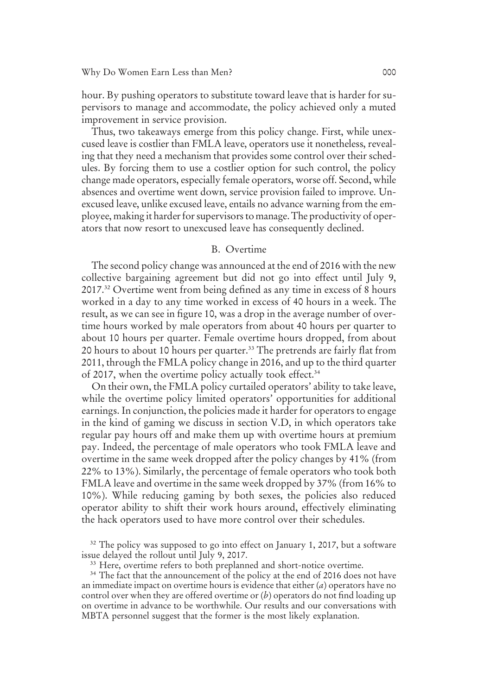hour. By pushing operators to substitute toward leave that is harder for supervisors to manage and accommodate, the policy achieved only a muted improvement in service provision.

Thus, two takeaways emerge from this policy change. First, while unexcused leave is costlier than FMLA leave, operators use it nonetheless, revealing that they need a mechanism that provides some control over their schedules. By forcing them to use a costlier option for such control, the policy change made operators, especially female operators, worse off. Second, while absences and overtime went down, service provision failed to improve. Unexcused leave, unlike excused leave, entails no advance warning from the employee, making it harder for supervisors to manage. The productivity of operators that now resort to unexcused leave has consequently declined.

#### B. Overtime

The second policy change was announced at the end of 2016 with the new collective bargaining agreement but did not go into effect until July 9, 2017.<sup>32</sup> Overtime went from being defined as any time in excess of 8 hours worked in a day to any time worked in excess of 40 hours in a week. The result, as we can see in figure 10, was a drop in the average number of overtime hours worked by male operators from about 40 hours per quarter to about 10 hours per quarter. Female overtime hours dropped, from about 20 hours to about 10 hours per quarter.<sup>33</sup> The pretrends are fairly flat from 2011, through the FMLA policy change in 2016, and up to the third quarter of 2017, when the overtime policy actually took effect.<sup>34</sup>

On their own, the FMLA policy curtailed operators' ability to take leave, while the overtime policy limited operators' opportunities for additional earnings. In conjunction, the policies made it harder for operators to engage in the kind of gaming we discuss in section V.D, in which operators take regular pay hours off and make them up with overtime hours at premium pay. Indeed, the percentage of male operators who took FMLA leave and overtime in the same week dropped after the policy changes by 41% (from 22% to 13%). Similarly, the percentage of female operators who took both FMLA leave and overtime in the same week dropped by 37% (from 16% to 10%). While reducing gaming by both sexes, the policies also reduced operator ability to shift their work hours around, effectively eliminating the hack operators used to have more control over their schedules.

<sup>32</sup> The policy was supposed to go into effect on January 1, 2017, but a software issue delayed the rollout until July 9, 2017.

<sup>33</sup> Here, overtime refers to both preplanned and short-notice overtime.

<sup>34</sup> The fact that the announcement of the policy at the end of 2016 does not have an immediate impact on overtime hours is evidence that either (*a*) operators have no control over when they are offered overtime or (*b*) operators do not find loading up on overtime in advance to be worthwhile. Our results and our conversations with MBTA personnel suggest that the former is the most likely explanation.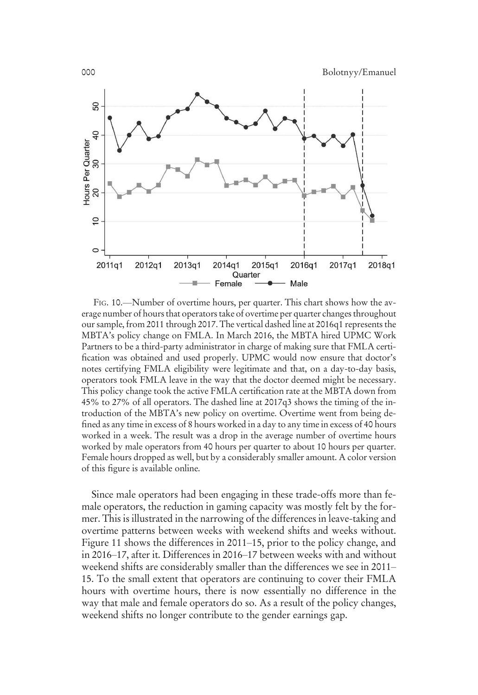000 Bolotnyy/Emanuel



FIG. 10.—Number of overtime hours, per quarter. This chart shows how the average number of hours that operators take of overtime per quarter changes throughout our sample, from 2011 through 2017. The vertical dashed line at 2016q1 represents the MBTA's policy change on FMLA. In March 2016, the MBTA hired UPMC Work Partners to be a third-party administrator in charge of making sure that FMLA certification was obtained and used properly. UPMC would now ensure that doctor's notes certifying FMLA eligibility were legitimate and that, on a day-to-day basis, operators took FMLA leave in the way that the doctor deemed might be necessary. This policy change took the active FMLA certification rate at the MBTA down from 45% to 27% of all operators. The dashed line at 2017q3 shows the timing of the introduction of the MBTA's new policy on overtime. Overtime went from being defined as any time in excess of 8 hours worked in a day to any time in excess of 40 hours worked in a week. The result was a drop in the average number of overtime hours worked by male operators from 40 hours per quarter to about 10 hours per quarter. Female hours dropped as well, but by a considerably smaller amount. A color version of this figure is available online.

Since male operators had been engaging in these trade-offs more than female operators, the reduction in gaming capacity was mostly felt by the former. This is illustrated in the narrowing of the differences in leave-taking and overtime patterns between weeks with weekend shifts and weeks without. Figure 11 shows the differences in 2011–15, prior to the policy change, and in 2016–17, after it. Differences in 2016–17 between weeks with and without weekend shifts are considerably smaller than the differences we see in 2011– 15. To the small extent that operators are continuing to cover their FMLA hours with overtime hours, there is now essentially no difference in the way that male and female operators do so. As a result of the policy changes, weekend shifts no longer contribute to the gender earnings gap.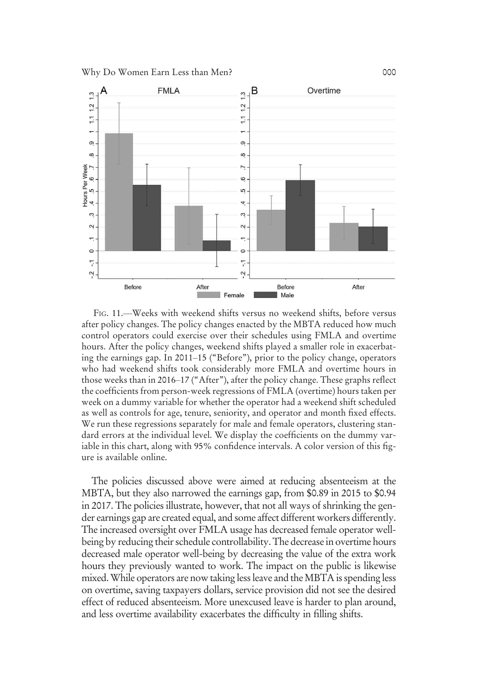

FIG. 11.—Weeks with weekend shifts versus no weekend shifts, before versus after policy changes. The policy changes enacted by the MBTA reduced how much control operators could exercise over their schedules using FMLA and overtime hours. After the policy changes, weekend shifts played a smaller role in exacerbating the earnings gap. In 2011–15 ("Before"), prior to the policy change, operators who had weekend shifts took considerably more FMLA and overtime hours in those weeks than in 2016–17 ("After"), after the policy change. These graphs reflect the coefficients from person-week regressions of FMLA (overtime) hours taken per week on a dummy variable for whether the operator had a weekend shift scheduled as well as controls for age, tenure, seniority, and operator and month fixed effects. We run these regressions separately for male and female operators, clustering standard errors at the individual level. We display the coefficients on the dummy variable in this chart, along with 95% confidence intervals. A color version of this figure is available online.

The policies discussed above were aimed at reducing absenteeism at the MBTA, but they also narrowed the earnings gap, from \$0.89 in 2015 to \$0.94 in 2017. The policies illustrate, however, that not all ways of shrinking the gender earnings gap are created equal, and some affect different workers differently. The increased oversight over FMLA usage has decreased female operator wellbeing by reducing their schedule controllability. The decrease in overtime hours decreased male operator well-being by decreasing the value of the extra work hours they previously wanted to work. The impact on the public is likewise mixed.While operators are now taking less leave and theMBTA is spending less on overtime, saving taxpayers dollars, service provision did not see the desired effect of reduced absenteeism. More unexcused leave is harder to plan around, and less overtime availability exacerbates the difficulty in filling shifts.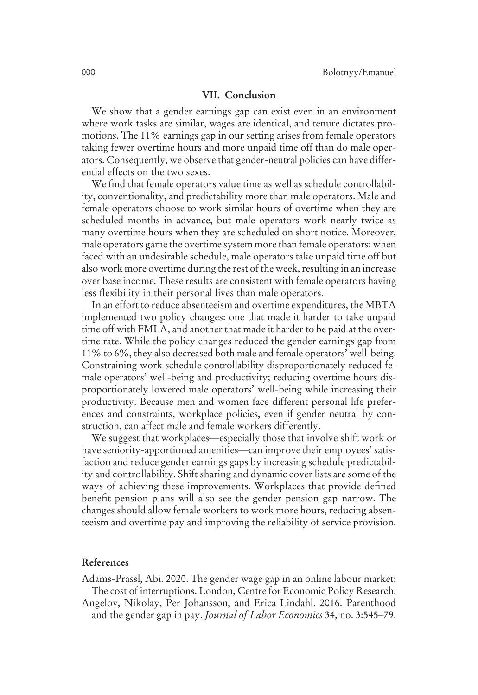#### VII. Conclusion

We show that a gender earnings gap can exist even in an environment where work tasks are similar, wages are identical, and tenure dictates promotions. The 11% earnings gap in our setting arises from female operators taking fewer overtime hours and more unpaid time off than do male operators. Consequently, we observe that gender-neutral policies can have differential effects on the two sexes.

We find that female operators value time as well as schedule controllability, conventionality, and predictability more than male operators. Male and female operators choose to work similar hours of overtime when they are scheduled months in advance, but male operators work nearly twice as many overtime hours when they are scheduled on short notice. Moreover, male operators game the overtime system more than female operators: when faced with an undesirable schedule, male operators take unpaid time off but also work more overtime during the rest of the week, resulting in an increase over base income. These results are consistent with female operators having less flexibility in their personal lives than male operators.

In an effort to reduce absenteeism and overtime expenditures, the MBTA implemented two policy changes: one that made it harder to take unpaid time off with FMLA, and another that made it harder to be paid at the overtime rate. While the policy changes reduced the gender earnings gap from 11% to 6%, they also decreased both male and female operators' well-being. Constraining work schedule controllability disproportionately reduced female operators' well-being and productivity; reducing overtime hours disproportionately lowered male operators' well-being while increasing their productivity. Because men and women face different personal life preferences and constraints, workplace policies, even if gender neutral by construction, can affect male and female workers differently.

We suggest that workplaces—especially those that involve shift work or have seniority-apportioned amenities—can improve their employees' satisfaction and reduce gender earnings gaps by increasing schedule predictability and controllability. Shift sharing and dynamic cover lists are some of the ways of achieving these improvements. Workplaces that provide defined benefit pension plans will also see the gender pension gap narrow. The changes should allow female workers to work more hours, reducing absenteeism and overtime pay and improving the reliability of service provision.

#### References

Adams-Prassl, Abi. 2020. The gender wage gap in an online labour market: The cost of interruptions. London, Centre for Economic Policy Research. Angelov, Nikolay, Per Johansson, and Erica Lindahl. 2016. Parenthood and the gender gap in pay. *Journal of Labor Economics* 34, no. 3:545–79.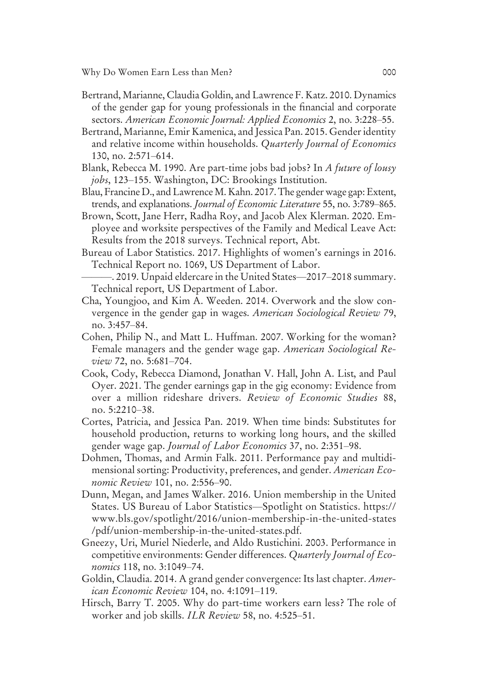- Bertrand, Marianne, Claudia Goldin, and Lawrence F. Katz. 2010. Dynamics of the gender gap for young professionals in the financial and corporate sectors. *American Economic Journal: Applied Economics* 2, no. 3:228–55.
- Bertrand, Marianne, Emir Kamenica, and Jessica Pan. 2015. Gender identity and relative income within households. *Quarterly Journal of Economics* 130, no. 2:571–614.
- Blank, Rebecca M. 1990. Are part-time jobs bad jobs? In *A future of lousy jobs*, 123–155. Washington, DC: Brookings Institution.
- Blau, Francine D., and Lawrence M. Kahn. 2017. The gender wage gap: Extent, trends, and explanations. *Journal of Economic Literature* 55, no. 3:789–865.
- Brown, Scott, Jane Herr, Radha Roy, and Jacob Alex Klerman. 2020. Employee and worksite perspectives of the Family and Medical Leave Act: Results from the 2018 surveys. Technical report, Abt.
- Bureau of Labor Statistics. 2017. Highlights of women's earnings in 2016. Technical Report no. 1069, US Department of Labor.
- ———. 2019. Unpaid eldercare in the United States—2017–2018 summary. Technical report, US Department of Labor.
- Cha, Youngjoo, and Kim A. Weeden. 2014. Overwork and the slow convergence in the gender gap in wages. *American Sociological Review* 79, no. 3:457–84.
- Cohen, Philip N., and Matt L. Huffman. 2007. Working for the woman? Female managers and the gender wage gap. *American Sociological Review* 72, no. 5:681–704.
- Cook, Cody, Rebecca Diamond, Jonathan V. Hall, John A. List, and Paul Oyer. 2021. The gender earnings gap in the gig economy: Evidence from over a million rideshare drivers. *Review of Economic Studies* 88, no. 5:2210–38.
- Cortes, Patricia, and Jessica Pan. 2019. When time binds: Substitutes for household production, returns to working long hours, and the skilled gender wage gap. *Journal of Labor Economics* 37, no. 2:351–98.
- Dohmen, Thomas, and Armin Falk. 2011. Performance pay and multidimensional sorting: Productivity, preferences, and gender. *American Economic Review* 101, no. 2:556–90.
- Dunn, Megan, and James Walker. 2016. Union membership in the United States. US Bureau of Labor Statistics—Spotlight on Statistics. https:// www.bls.gov/spotlight/2016/union-membership-in-the-united-states /pdf/union-membership-in-the-united-states.pdf.
- Gneezy, Uri, Muriel Niederle, and Aldo Rustichini. 2003. Performance in competitive environments: Gender differences. *Quarterly Journal of Economics* 118, no. 3:1049–74.
- Goldin, Claudia. 2014. A grand gender convergence: Its last chapter. *American Economic Review* 104, no. 4:1091–119.
- Hirsch, Barry T. 2005. Why do part-time workers earn less? The role of worker and job skills. *ILR Review* 58, no. 4:525–51.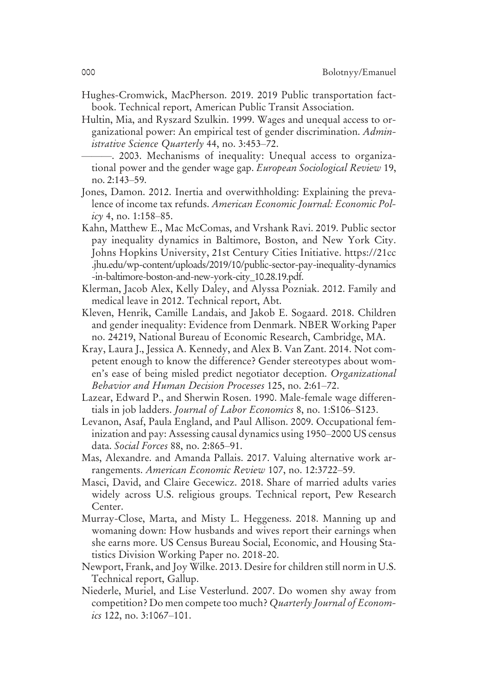- Hughes-Cromwick, MacPherson. 2019. 2019 Public transportation factbook. Technical report, American Public Transit Association.
- Hultin, Mia, and Ryszard Szulkin. 1999. Wages and unequal access to organizational power: An empirical test of gender discrimination. *Administrative Science Quarterly* 44, no. 3:453–72.
	- ———. 2003. Mechanisms of inequality: Unequal access to organizational power and the gender wage gap. *European Sociological Review* 19, no. 2:143–59.
- Jones, Damon. 2012. Inertia and overwithholding: Explaining the prevalence of income tax refunds. *American Economic Journal: Economic Policy* 4, no. 1:158–85.
- Kahn, Matthew E., Mac McComas, and Vrshank Ravi. 2019. Public sector pay inequality dynamics in Baltimore, Boston, and New York City. Johns Hopkins University, 21st Century Cities Initiative. https://21cc .jhu.edu/wp-content/uploads/2019/10/public-sector-pay-inequality-dynamics -in-baltimore-boston-and-new-york-city\_10.28.19.pdf.
- Klerman, Jacob Alex, Kelly Daley, and Alyssa Pozniak. 2012. Family and medical leave in 2012. Technical report, Abt.
- Kleven, Henrik, Camille Landais, and Jakob E. Sogaard. 2018. Children and gender inequality: Evidence from Denmark. NBER Working Paper no. 24219, National Bureau of Economic Research, Cambridge, MA.
- Kray, Laura J., Jessica A. Kennedy, and Alex B. Van Zant. 2014. Not competent enough to know the difference? Gender stereotypes about women's ease of being misled predict negotiator deception. *Organizational Behavior and Human Decision Processes* 125, no. 2:61–72.
- Lazear, Edward P., and Sherwin Rosen. 1990. Male-female wage differentials in job ladders. *Journal of Labor Economics* 8, no. 1:S106–S123.
- Levanon, Asaf, Paula England, and Paul Allison. 2009. Occupational feminization and pay: Assessing causal dynamics using 1950–2000 US census data. *Social Forces* 88, no. 2:865–91.
- Mas, Alexandre. and Amanda Pallais. 2017. Valuing alternative work arrangements. *American Economic Review* 107, no. 12:3722–59.
- Masci, David, and Claire Gecewicz. 2018. Share of married adults varies widely across U.S. religious groups. Technical report, Pew Research Center.
- Murray-Close, Marta, and Misty L. Heggeness. 2018. Manning up and womaning down: How husbands and wives report their earnings when she earns more. US Census Bureau Social, Economic, and Housing Statistics Division Working Paper no. 2018-20.
- Newport, Frank, and Joy Wilke. 2013. Desire for children still norm in U.S. Technical report, Gallup.
- Niederle, Muriel, and Lise Vesterlund. 2007. Do women shy away from competition? Do men compete too much? *Quarterly Journal of Economics* 122, no. 3:1067–101.